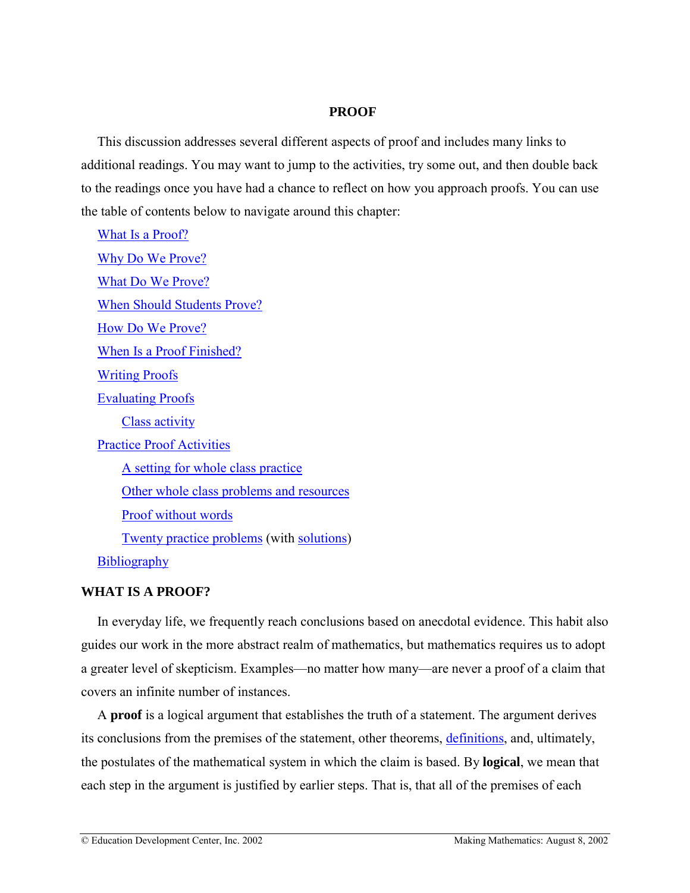# **PROOF**

<span id="page-0-0"></span>This discussion addresses several different aspects of proof and includes many links to additional readings. You may want to jump to the activities, try some out, and then double back to the readings once you have had a chance to reflect on how you approach proofs. You can use the table of contents below to navigate around this chapter:

What Is a Proof? [Why Do We Prove?](#page-2-0) [What Do We Prove?](#page-6-0) [When Should Students Prove?](#page-7-0) [How Do We Prove?](#page-8-0) [When Is a Proof Finished?](#page-14-0) [Writing Proofs](#page-16-0) [Evaluating Proofs](#page-18-0) [Class activity](#page-19-0) [Practice Proof Activities](#page-22-0) [A setting for whole class practice](#page-25-0) [Other whole class problems and resources](#page-27-0) [Proof without words](#page-30-0) [Twenty practice problems](#page-32-0) (with [solutions\)](#page-35-0) **[Bibliography](#page-47-0)** 

# **WHAT IS A PROOF?**

In everyday life, we frequently reach conclusions based on anecdotal evidence. This habit also guides our work in the more abstract realm of mathematics, but mathematics requires us to adopt a greater level of skepticism. Examples—no matter how many—are never a proof of a claim that covers an infinite number of instances.

A **proof** is a logical argument that establishes the truth of a statement. The argument derives its conclusions from the premises of the statement, other theorems, [definitions,](http://www2.edc.org/makingmath/handbook/teacher/definitions/definitions.asp) and, ultimately, the postulates of the mathematical system in which the claim is based. By **logical**, we mean that each step in the argument is justified by earlier steps. That is, that all of the premises of each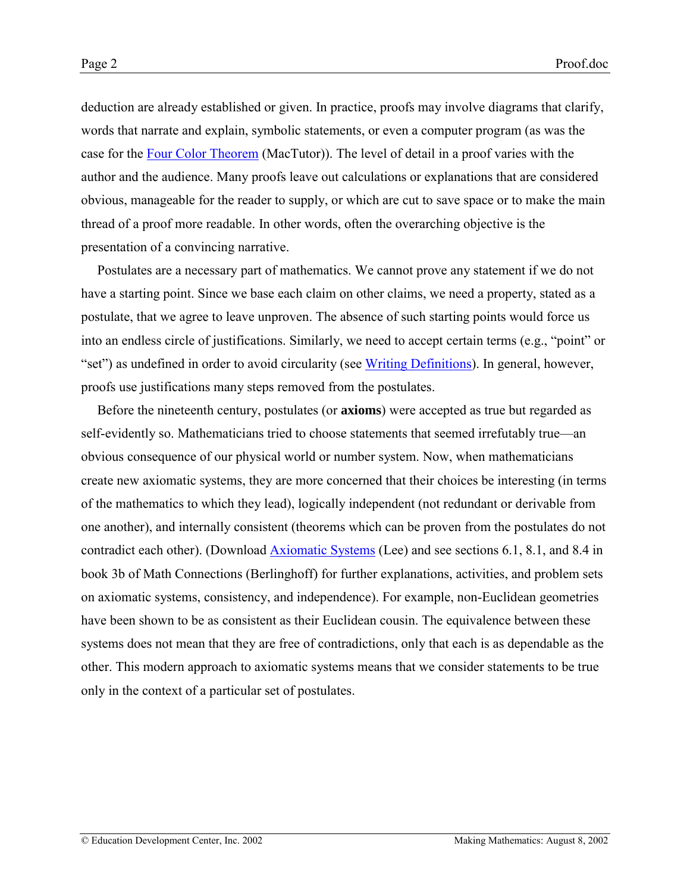deduction are already established or given. In practice, proofs may involve diagrams that clarify, words that narrate and explain, symbolic statements, or even a computer program (as was the case for the [Four Color Theorem](http://www-groups.dcs.st-and.ac.uk/~history/HistTopics/The_four_colour_theorem.html) (MacTutor)). The level of detail in a proof varies with the author and the audience. Many proofs leave out calculations or explanations that are considered obvious, manageable for the reader to supply, or which are cut to save space or to make the main thread of a proof more readable. In other words, often the overarching objective is the presentation of a convincing narrative.

Postulates are a necessary part of mathematics. We cannot prove any statement if we do not have a starting point. Since we base each claim on other claims, we need a property, stated as a postulate, that we agree to leave unproven. The absence of such starting points would force us into an endless circle of justifications. Similarly, we need to accept certain terms (e.g., "point" or "set") as undefined in order to avoid circularity (see [Writing Definitions\)](http://www2.edc.org/makingmath/handbook/teacher/Definitions/Definitions.asp#WritingDefinitions). In general, however, proofs use justifications many steps removed from the postulates.

Before the nineteenth century, postulates (or **axioms**) were accepted as true but regarded as self-evidently so. Mathematicians tried to choose statements that seemed irrefutably true—an obvious consequence of our physical world or number system. Now, when mathematicians create new axiomatic systems, they are more concerned that their choices be interesting (in terms of the mathematics to which they lead), logically independent (not redundant or derivable from one another), and internally consistent (theorems which can be proven from the postulates do not contradict each other). (Download [Axiomatic Systems](#page-0-0) (Lee) and see sections 6.1, 8.1, and 8.4 in book 3b of Math Connections (Berlinghoff) for further explanations, activities, and problem sets on axiomatic systems, consistency, and independence). For example, non-Euclidean geometries have been shown to be as consistent as their Euclidean cousin. The equivalence between these systems does not mean that they are free of contradictions, only that each is as dependable as the other. This modern approach to axiomatic systems means that we consider statements to be true only in the context of a particular set of postulates.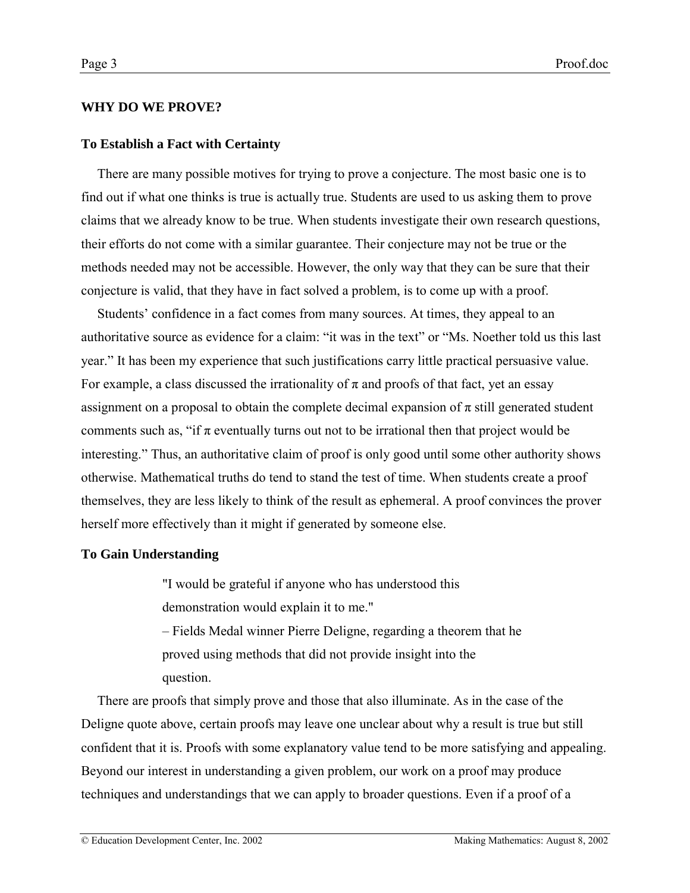# <span id="page-2-0"></span>**WHY DO WE PROVE?**

# **To Establish a Fact with Certainty**

There are many possible motives for trying to prove a conjecture. The most basic one is to find out if what one thinks is true is actually true. Students are used to us asking them to prove claims that we already know to be true. When students investigate their own research questions, their efforts do not come with a similar guarantee. Their conjecture may not be true or the methods needed may not be accessible. However, the only way that they can be sure that their conjecture is valid, that they have in fact solved a problem, is to come up with a proof.

Students' confidence in a fact comes from many sources. At times, they appeal to an authoritative source as evidence for a claim: "it was in the text" or "Ms. Noether told us this last year.î It has been my experience that such justifications carry little practical persuasive value. For example, a class discussed the irrationality of  $\pi$  and proofs of that fact, yet an essay assignment on a proposal to obtain the complete decimal expansion of  $\pi$  still generated student comments such as, "if  $\pi$  eventually turns out not to be irrational then that project would be interesting." Thus, an authoritative claim of proof is only good until some other authority shows otherwise. Mathematical truths do tend to stand the test of time. When students create a proof themselves, they are less likely to think of the result as ephemeral. A proof convinces the prover herself more effectively than it might if generated by someone else.

# **To Gain Understanding**

"I would be grateful if anyone who has understood this

demonstration would explain it to me."

– Fields Medal winner Pierre Deligne, regarding a theorem that he proved using methods that did not provide insight into the question.

There are proofs that simply prove and those that also illuminate. As in the case of the Deligne quote above, certain proofs may leave one unclear about why a result is true but still confident that it is. Proofs with some explanatory value tend to be more satisfying and appealing. Beyond our interest in understanding a given problem, our work on a proof may produce techniques and understandings that we can apply to broader questions. Even if a proof of a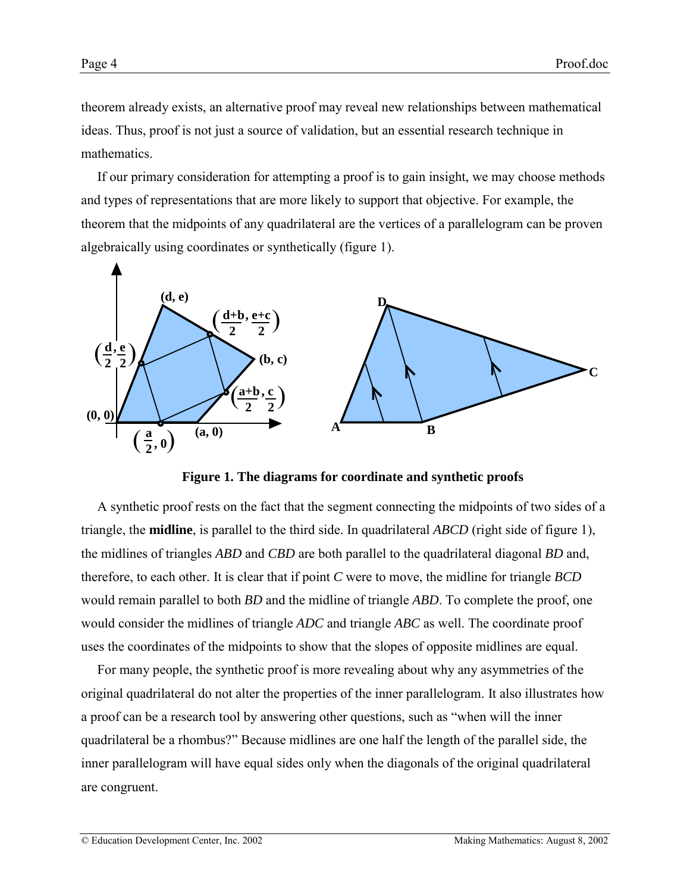theorem already exists, an alternative proof may reveal new relationships between mathematical ideas. Thus, proof is not just a source of validation, but an essential research technique in mathematics.

If our primary consideration for attempting a proof is to gain insight, we may choose methods and types of representations that are more likely to support that objective. For example, the theorem that the midpoints of any quadrilateral are the vertices of a parallelogram can be proven algebraically using coordinates or synthetically (figure 1).



**Figure 1. The diagrams for coordinate and synthetic proofs**

A synthetic proof rests on the fact that the segment connecting the midpoints of two sides of a triangle, the **midline**, is parallel to the third side. In quadrilateral *ABCD* (right side of figure 1), the midlines of triangles *ABD* and *CBD* are both parallel to the quadrilateral diagonal *BD* and, therefore, to each other. It is clear that if point *C* were to move, the midline for triangle *BCD* would remain parallel to both *BD* and the midline of triangle *ABD*. To complete the proof, one would consider the midlines of triangle *ADC* and triangle *ABC* as well. The coordinate proof uses the coordinates of the midpoints to show that the slopes of opposite midlines are equal.

For many people, the synthetic proof is more revealing about why any asymmetries of the original quadrilateral do not alter the properties of the inner parallelogram. It also illustrates how a proof can be a research tool by answering other questions, such as "when will the inner quadrilateral be a rhombus?" Because midlines are one half the length of the parallel side, the inner parallelogram will have equal sides only when the diagonals of the original quadrilateral are congruent.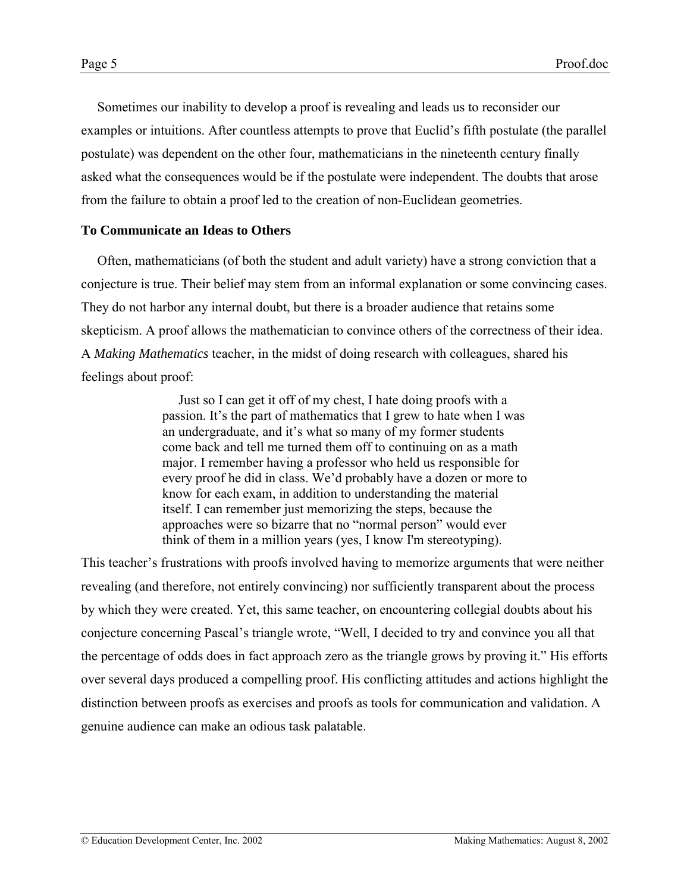<span id="page-4-0"></span>Sometimes our inability to develop a proof is revealing and leads us to reconsider our examples or intuitions. After countless attempts to prove that Euclid's fifth postulate (the parallel postulate) was dependent on the other four, mathematicians in the nineteenth century finally asked what the consequences would be if the postulate were independent. The doubts that arose from the failure to obtain a proof led to the creation of non-Euclidean geometries.

## **To Communicate an Ideas to Others**

Often, mathematicians (of both the student and adult variety) have a strong conviction that a conjecture is true. Their belief may stem from an informal explanation or some convincing cases. They do not harbor any internal doubt, but there is a broader audience that retains some skepticism. A proof allows the mathematician to convince others of the correctness of their idea. A *Making Mathematics* teacher, in the midst of doing research with colleagues, shared his feelings about proof:

> Just so I can get it off of my chest, I hate doing proofs with a passion. It's the part of mathematics that I grew to hate when I was an undergraduate, and it's what so many of my former students come back and tell me turned them off to continuing on as a math major. I remember having a professor who held us responsible for every proof he did in class. We'd probably have a dozen or more to know for each exam, in addition to understanding the material itself. I can remember just memorizing the steps, because the approaches were so bizarre that no "normal person" would ever think of them in a million years (yes, I know I'm stereotyping).

This teacher's frustrations with proofs involved having to memorize arguments that were neither revealing (and therefore, not entirely convincing) nor sufficiently transparent about the process by which they were created. Yet, this same teacher, on encountering collegial doubts about his conjecture concerning Pascal's triangle wrote, "Well, I decided to try and convince you all that the percentage of odds does in fact approach zero as the triangle grows by proving it." His efforts over several days produced a compelling proof. His conflicting attitudes and actions highlight the distinction between proofs as exercises and proofs as tools for communication and validation. A genuine audience can make an odious task palatable.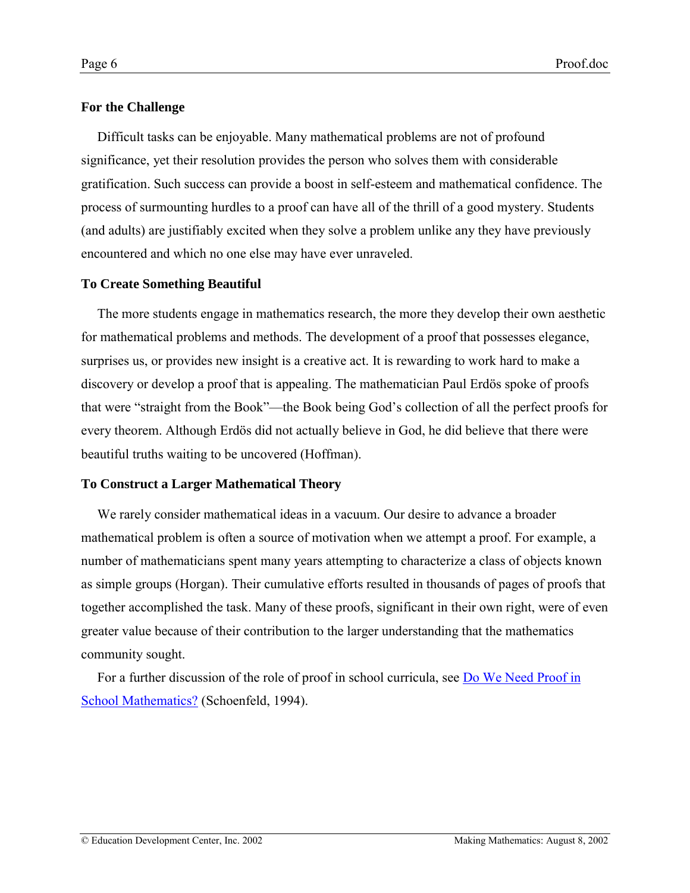# **For the Challenge**

Difficult tasks can be enjoyable. Many mathematical problems are not of profound significance, yet their resolution provides the person who solves them with considerable gratification. Such success can provide a boost in self-esteem and mathematical confidence. The process of surmounting hurdles to a proof can have all of the thrill of a good mystery. Students (and adults) are justifiably excited when they solve a problem unlike any they have previously encountered and which no one else may have ever unraveled.

# **To Create Something Beautiful**

The more students engage in mathematics research, the more they develop their own aesthetic for mathematical problems and methods. The development of a proof that possesses elegance, surprises us, or provides new insight is a creative act. It is rewarding to work hard to make a discovery or develop a proof that is appealing. The mathematician Paul Erdös spoke of proofs that were "straight from the Book"—the Book being God's collection of all the perfect proofs for every theorem. Although Erdös did not actually believe in God, he did believe that there were beautiful truths waiting to be uncovered (Hoffman).

# **To Construct a Larger Mathematical Theory**

We rarely consider mathematical ideas in a vacuum. Our desire to advance a broader mathematical problem is often a source of motivation when we attempt a proof. For example, a number of mathematicians spent many years attempting to characterize a class of objects known as simple groups (Horgan). Their cumulative efforts resulted in thousands of pages of proofs that together accomplished the task. Many of these proofs, significant in their own right, were of even greater value because of their contribution to the larger understanding that the mathematics community sought.

For a further discussion of the role of proof in school curricula, see [Do We Need Proof in](http://www-gse.berkeley.edu/Faculty/aschoenfeld/WhatDoWeKnow/What_Do_we_know02.html#Heading4) [School Mathematics?](http://www-gse.berkeley.edu/Faculty/aschoenfeld/WhatDoWeKnow/What_Do_we_know02.html#Heading4) (Schoenfeld, 1994).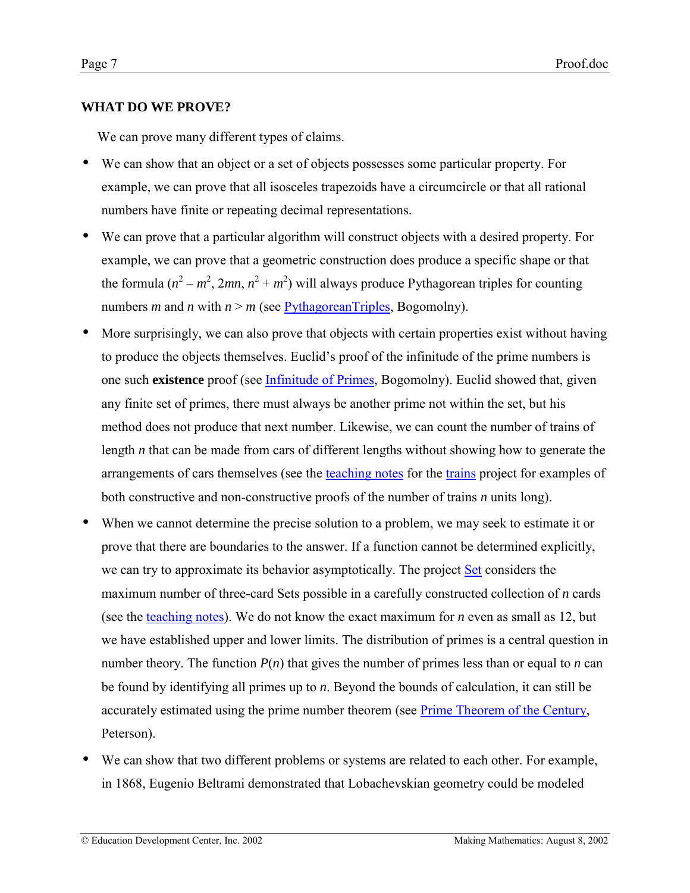# <span id="page-6-0"></span>**WHAT DO WE PROVE?**

We can prove many different types of claims.

- We can show that an object or a set of objects possesses some particular property. For example, we can prove that all isosceles trapezoids have a circumcircle or that all rational numbers have finite or repeating decimal representations.
- We can prove that a particular algorithm will construct objects with a desired property. For example, we can prove that a geometric construction does produce a specific shape or that the formula  $(n^2 - m^2, 2mn, n^2 + m^2)$  will always produce Pythagorean triples for counting numbers *m* and *n* with  $n > m$  (see [PythagoreanTriples,](http://www.cut-the-knot.com/pythagoras/pythTriple.html) Bogomolny).
- More surprisingly, we can also prove that objects with certain properties exist without having to produce the objects themselves. Euclid's proof of the infinitude of the prime numbers is one such **existence** proof (see [Infinitude of Primes,](http://www.cut-the-knot.com/proofs/primes.html) Bogomolny). Euclid showed that, given any finite set of primes, there must always be another prime not within the set, but his method does not produce that next number. Likewise, we can count the number of trains of length *n* that can be made from cars of different lengths without showing how to generate the arrangements of cars themselves (see the [teaching notes](http://www2.edc.org/makingmath/mathprojects/trains/trains_teach.asp) for the [trains](http://www2.edc.org/makingmath/mathprojects/trains/trains.asp) project for examples of both constructive and non-constructive proofs of the number of trains *n* units long).
- When we cannot determine the precise solution to a problem, we may seek to estimate it or prove that there are boundaries to the answer. If a function cannot be determined explicitly, we can try to approximate its behavior asymptotically. The project [Set](http://www2.edc.org/makingmath/mathprojects/gameOfSet/Set.asp) considers the maximum number of three-card Sets possible in a carefully constructed collection of *n* cards (see the [teaching notes\)](http://www2.edc.org/makingmath/mathprojects/gameOfSet/Set_teach.asp). We do not know the exact maximum for *n* even as small as 12, but we have established upper and lower limits. The distribution of primes is a central question in number theory. The function  $P(n)$  that gives the number of primes less than or equal to *n* can be found by identifying all primes up to *n*. Beyond the bounds of calculation, it can still be accurately estimated using the prime number theorem (see [Prime Theorem of the Century,](http://www.maa.org/mathland/mathland_12_23.html) Peterson).
- We can show that two different problems or systems are related to each other. For example, in 1868, Eugenio Beltrami demonstrated that Lobachevskian geometry could be modeled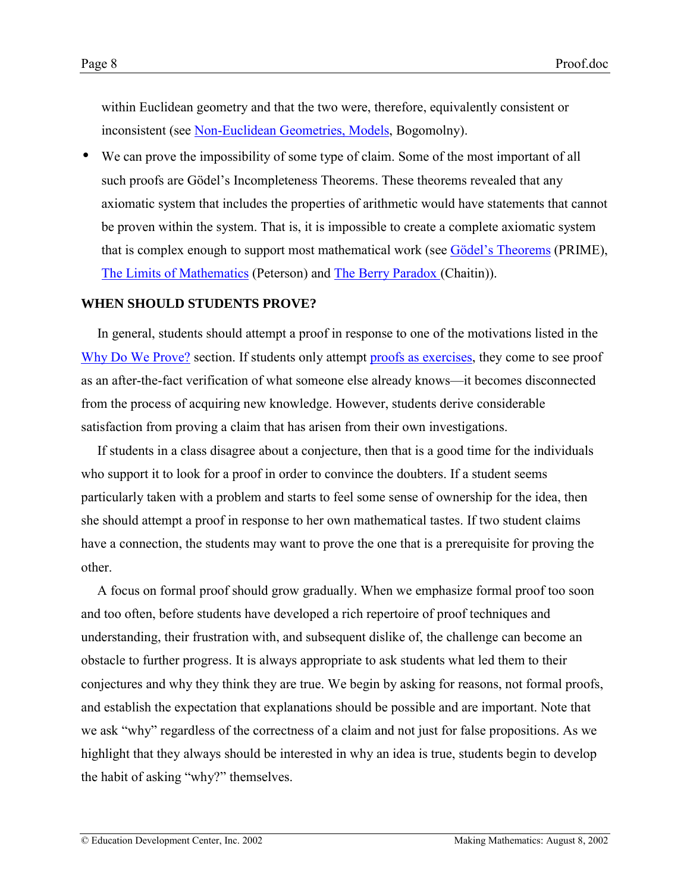<span id="page-7-0"></span>within Euclidean geometry and that the two were, therefore, equivalently consistent or inconsistent (see [Non-Euclidean Geometries, Models,](http://www.cut-the-knot.com/triangle/pythpar/Model.html) Bogomolny).

• We can prove the impossibility of some type of claim. Some of the most important of all such proofs are Gödel's Incompleteness Theorems. These theorems revealed that any axiomatic system that includes the properties of arithmetic would have statements that cannot be proven within the system. That is, it is impossible to create a complete axiomatic system that is complex enough to support most mathematical work (see Gödel's Theorems (PRIME), [The Limits of Mathematics](http://www.maa.org/mathland/mathtrek_2_23_98.html) (Peterson) and [The Berry Paradox \(](http://www.cs.auckland.ac.nz/CDMTCS/chaitin/unm2.html)Chaitin)).

## **WHEN SHOULD STUDENTS PROVE?**

In general, students should attempt a proof in response to one of the motivations listed in the [Why Do We Prove?](#page-2-0) section. If students only attempt [proofs as exercises,](#page-22-0) they come to see proof as an after-the-fact verification of what someone else already knows—it becomes disconnected from the process of acquiring new knowledge. However, students derive considerable satisfaction from proving a claim that has arisen from their own investigations.

If students in a class disagree about a conjecture, then that is a good time for the individuals who support it to look for a proof in order to convince the doubters. If a student seems particularly taken with a problem and starts to feel some sense of ownership for the idea, then she should attempt a proof in response to her own mathematical tastes. If two student claims have a connection, the students may want to prove the one that is a prerequisite for proving the other.

A focus on formal proof should grow gradually. When we emphasize formal proof too soon and too often, before students have developed a rich repertoire of proof techniques and understanding, their frustration with, and subsequent dislike of, the challenge can become an obstacle to further progress. It is always appropriate to ask students what led them to their conjectures and why they think they are true. We begin by asking for reasons, not formal proofs, and establish the expectation that explanations should be possible and are important. Note that we ask "why" regardless of the correctness of a claim and not just for false propositions. As we highlight that they always should be interested in why an idea is true, students begin to develop the habit of asking "why?" themselves.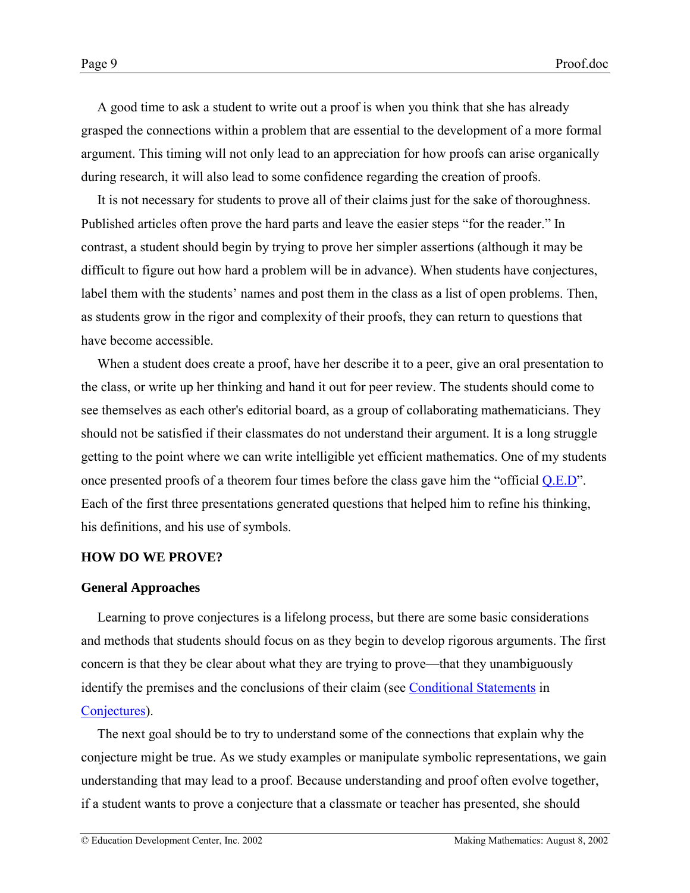<span id="page-8-0"></span>A good time to ask a student to write out a proof is when you think that she has already grasped the connections within a problem that are essential to the development of a more formal argument. This timing will not only lead to an appreciation for how proofs can arise organically during research, it will also lead to some confidence regarding the creation of proofs.

It is not necessary for students to prove all of their claims just for the sake of thoroughness. Published articles often prove the hard parts and leave the easier steps "for the reader." In contrast, a student should begin by trying to prove her simpler assertions (although it may be difficult to figure out how hard a problem will be in advance). When students have conjectures, label them with the students' names and post them in the class as a list of open problems. Then, as students grow in the rigor and complexity of their proofs, they can return to questions that have become accessible.

When a student does create a proof, have her describe it to a peer, give an oral presentation to the class, or write up her thinking and hand it out for peer review. The students should come to see themselves as each other's editorial board, as a group of collaborating mathematicians. They should not be satisfied if their classmates do not understand their argument. It is a long struggle getting to the point where we can write intelligible yet efficient mathematics. One of my students once presented proofs of a theorem four times before the class gave him the "official  $Q.E.D$ ". Each of the first three presentations generated questions that helped him to refine his thinking, his definitions, and his use of symbols.

### **HOW DO WE PROVE?**

#### **General Approaches**

Learning to prove conjectures is a lifelong process, but there are some basic considerations and methods that students should focus on as they begin to develop rigorous arguments. The first concern is that they be clear about what they are trying to prove—that they unambiguously identify the premises and the conclusions of their claim (see [Conditional Statements](http://www2.edc.org/makingmath/handbook/teacher/conjectures/conjectures.asp#ConditionalStatements) in [Conjectures\)](http://www2.edc.org/makingmath/handbook/teacher/conjectures/conjectures.asp).

The next goal should be to try to understand some of the connections that explain why the conjecture might be true. As we study examples or manipulate symbolic representations, we gain understanding that may lead to a proof. Because understanding and proof often evolve together, if a student wants to prove a conjecture that a classmate or teacher has presented, she should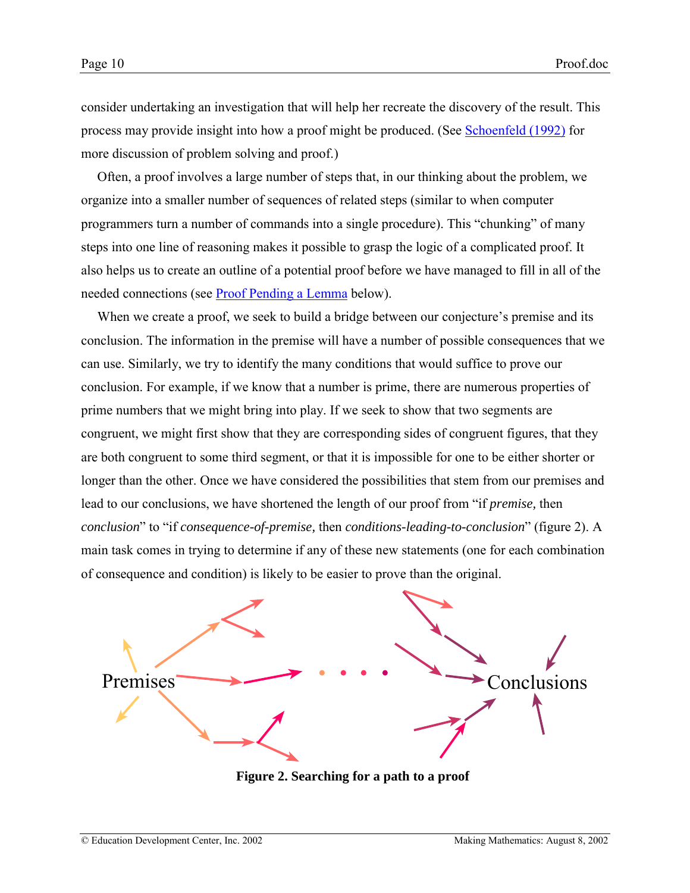consider undertaking an investigation that will help her recreate the discovery of the result. This process may provide insight into how a proof might be produced. (See [Schoenfeld \(1992\)](#page-49-0) for more discussion of problem solving and proof.)

Often, a proof involves a large number of steps that, in our thinking about the problem, we organize into a smaller number of sequences of related steps (similar to when computer programmers turn a number of commands into a single procedure). This "chunking" of many steps into one line of reasoning makes it possible to grasp the logic of a complicated proof. It also helps us to create an outline of a potential proof before we have managed to fill in all of the needed connections (see [Proof Pending a Lemma](#page-13-0) below).

When we create a proof, we seek to build a bridge between our conjecture's premise and its conclusion. The information in the premise will have a number of possible consequences that we can use. Similarly, we try to identify the many conditions that would suffice to prove our conclusion. For example, if we know that a number is prime, there are numerous properties of prime numbers that we might bring into play. If we seek to show that two segments are congruent, we might first show that they are corresponding sides of congruent figures, that they are both congruent to some third segment, or that it is impossible for one to be either shorter or longer than the other. Once we have considered the possibilities that stem from our premises and lead to our conclusions, we have shortened the length of our proof from "if *premise*, then *conclusion*" to "if *consequence-of-premise*, then *conditions-leading-to-conclusion*" (figure 2). A main task comes in trying to determine if any of these new statements (one for each combination of consequence and condition) is likely to be easier to prove than the original.



**Figure 2. Searching for a path to a proof**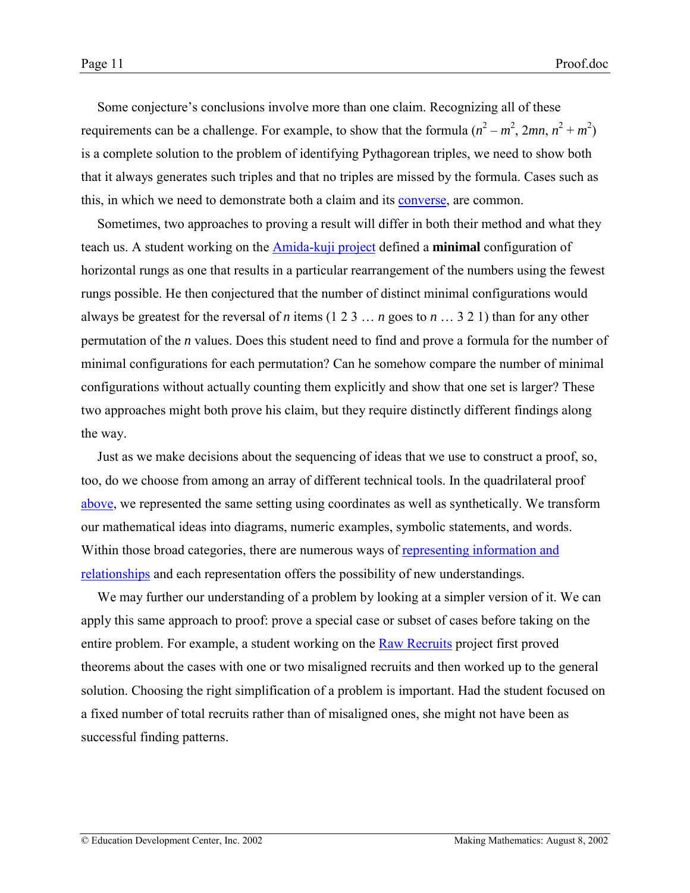Some conjecture's conclusions involve more than one claim. Recognizing all of these requirements can be a challenge. For example, to show that the formula  $(n^2 - m^2, 2mn, n^2 + m^2)$ is a complete solution to the problem of identifying Pythagorean triples, we need to show both that it always generates such triples and that no triples are missed by the formula. Cases such as this, in which we need to demonstrate both a claim and its [converse,](http://www2.edc.org/makingmath/mathtools/conditional/conditional.asp) are common.

Sometimes, two approaches to proving a result will differ in both their method and what they teach us. A student working on the [Amida-kuji project](http://www2.edc.org/makingmath/mathprojects/amidakuji/Links/amidakuji_lnk_1.asp) defined a **minimal** configuration of horizontal rungs as one that results in a particular rearrangement of the numbers using the fewest rungs possible. He then conjectured that the number of distinct minimal configurations would always be greatest for the reversal of *n* items (1 2 3  $\dots$  *n* goes to *n*  $\dots$  3 2 1) than for any other permutation of the *n* values. Does this student need to find and prove a formula for the number of minimal configurations for each permutation? Can he somehow compare the number of minimal configurations without actually counting them explicitly and show that one set is larger? These two approaches might both prove his claim, but they require distinctly different findings along the way.

Just as we make decisions about the sequencing of ideas that we use to construct a proof, so, too, do we choose from among an array of different technical tools. In the quadrilateral proof [above,](#page-2-0) we represented the same setting using coordinates as well as synthetically. We transform our mathematical ideas into diagrams, numeric examples, symbolic statements, and words. Within those broad categories, there are numerous ways of [representing information and](http://www2.edc.org/makingmath/handbook/teacher/representations/representations.asp) [relationships](http://www2.edc.org/makingmath/handbook/teacher/representations/representations.asp) and each representation offers the possibility of new understandings.

We may further our understanding of a problem by looking at a simpler version of it. We can apply this same approach to proof: prove a special case or subset of cases before taking on the entire problem. For example, a student working on the [Raw Recruits](http://www2.edc.org/makingmath/mathprojects/recruits/Links/recruits_lnk_1.asp) project first proved theorems about the cases with one or two misaligned recruits and then worked up to the general solution. Choosing the right simplification of a problem is important. Had the student focused on a fixed number of total recruits rather than of misaligned ones, she might not have been as successful finding patterns.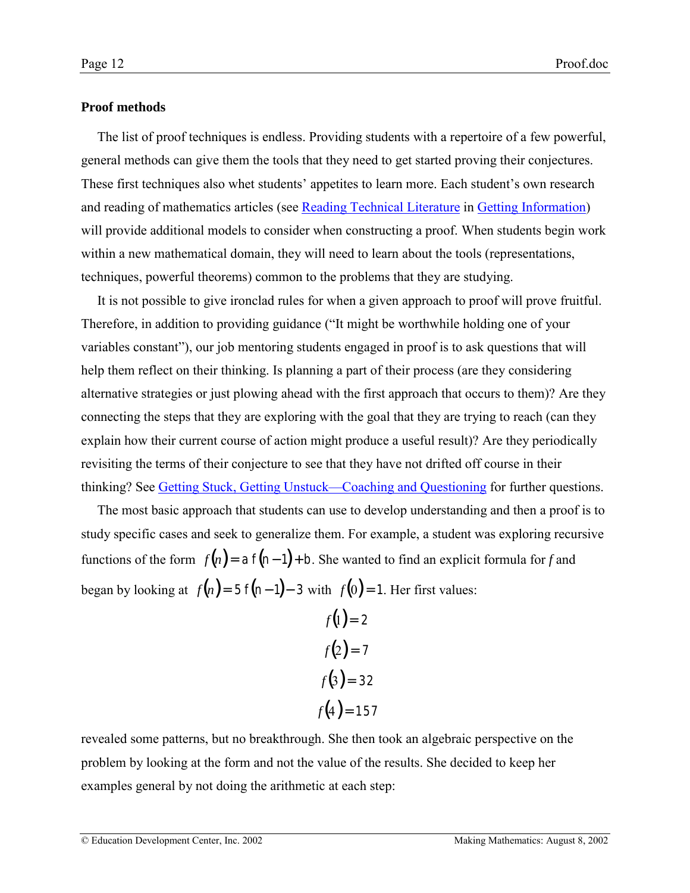### **Proof methods**

The list of proof techniques is endless. Providing students with a repertoire of a few powerful, general methods can give them the tools that they need to get started proving their conjectures. These first techniques also whet students' appetites to learn more. Each student's own research and reading of mathematics articles (see [Reading Technical Literature](http://www2.edc.org/makingmath/handbook/teacher/GettingInformation/GettingInformation.asp#ReadingTechnicalLiterature) in [Getting Information\)](http://www2.edc.org/makingmath/handbook/teacher/GettingInformation/GettingInformation.asp) will provide additional models to consider when constructing a proof. When students begin work within a new mathematical domain, they will need to learn about the tools (representations, techniques, powerful theorems) common to the problems that they are studying.

It is not possible to give ironclad rules for when a given approach to proof will prove fruitful. Therefore, in addition to providing guidance ("It might be worthwhile holding one of your variables constant"), our job mentoring students engaged in proof is to ask questions that will help them reflect on their thinking. Is planning a part of their process (are they considering alternative strategies or just plowing ahead with the first approach that occurs to them)? Are they connecting the steps that they are exploring with the goal that they are trying to reach (can they explain how their current course of action might produce a useful result)? Are they periodically revisiting the terms of their conjecture to see that they have not drifted off course in their thinking? See Getting Stuck, Getting Unstuck—Coaching and Questioning for further questions.

The most basic approach that students can use to develop understanding and then a proof is to study specific cases and seek to generalize them. For example, a student was exploring recursive functions of the form  $f(n) = af(n-1) + b$ . She wanted to find an explicit formula for *f* and began by looking at  $f(n) = 5 f(n-1) - 3$  with  $f(0) = 1$ . Her first values:

$$
f(1) = 2
$$

$$
f(2) = 7
$$

$$
f(3) = 32
$$

$$
f(4) = 157
$$

revealed some patterns, but no breakthrough. She then took an algebraic perspective on the problem by looking at the form and not the value of the results. She decided to keep her examples general by not doing the arithmetic at each step:

© Education Development Center, Inc. 2002 Making Mathematics: August 8, 2002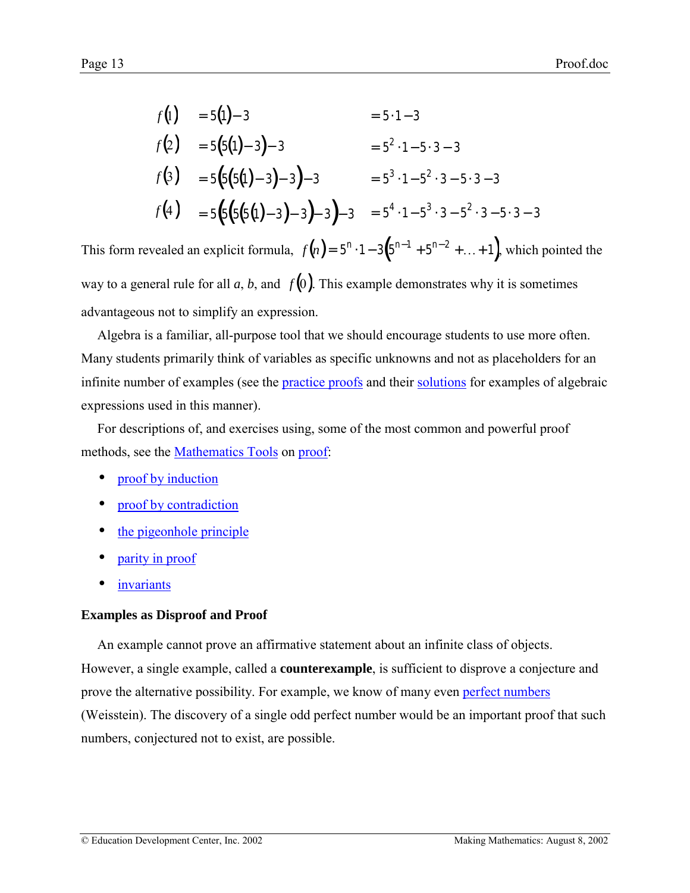$$
f(1) = 5(1) - 3 = 5 \cdot 1 - 3
$$
  
\n
$$
f(2) = 5(5(1) - 3) - 3 = 5^2 \cdot 1 - 5 \cdot 3 - 3
$$
  
\n
$$
f(3) = 5(5(5(1) - 3) - 3) - 3 = 5^3 \cdot 1 - 5^2 \cdot 3 - 5 \cdot 3 - 3
$$
  
\n
$$
f(4) = 5(5(5(5(1) - 3) - 3) - 3) - 3 = 5^4 \cdot 1 - 5^3 \cdot 3 - 5^2 \cdot 3 - 5 \cdot 3 - 3
$$

This form revealed an explicit formula,  $f(n) = 5^n \cdot 1 - 3(5^{n-1} + 5^{n-2} + ... + 1)$ , which pointed the way to a general rule for all  $a, b$ , and  $f(0)$ . This example demonstrates why it is sometimes advantageous not to simplify an expression.

Algebra is a familiar, all-purpose tool that we should encourage students to use more often. Many students primarily think of variables as specific unknowns and not as placeholders for an infinite number of examples (see the *practice proofs* and their [solutions](#page-35-0) for examples of algebraic expressions used in this manner).

For descriptions of, and exercises using, some of the most common and powerful proof methods, see the **Mathematics** Tools on [proof:](http://www2.edc.org/makingmath/mathtools/proof/proof.asp)

- [proof by induction](http://www2.edc.org/makingmath/mathtools/induction/induction.asp)
- [proof by contradiction](http://www2.edc.org/makingmath/mathtools/contradiction/contradiction.asp)
- [the pigeonhole principle](http://www2.edc.org/makingmath/mathtools/pigeonhole/pigeonhole.asp)
- [parity in proof](http://www2.edc.org/makingmath/mathtools/parity/parity.asp)
- *[invariants](http://www2.edc.org/makingmath/handbook/teacher/conjectures/conjectures.asp#Invariants)*

## **Examples as Disproof and Proof**

An example cannot prove an affirmative statement about an infinite class of objects. However, a single example, called a **counterexample**, is sufficient to disprove a conjecture and prove the alternative possibility. For example, we know of many even [perfect numbers](http://mathworld.wolfram.com/PerfectNumber.html) (Weisstein). The discovery of a single odd perfect number would be an important proof that such numbers, conjectured not to exist, are possible.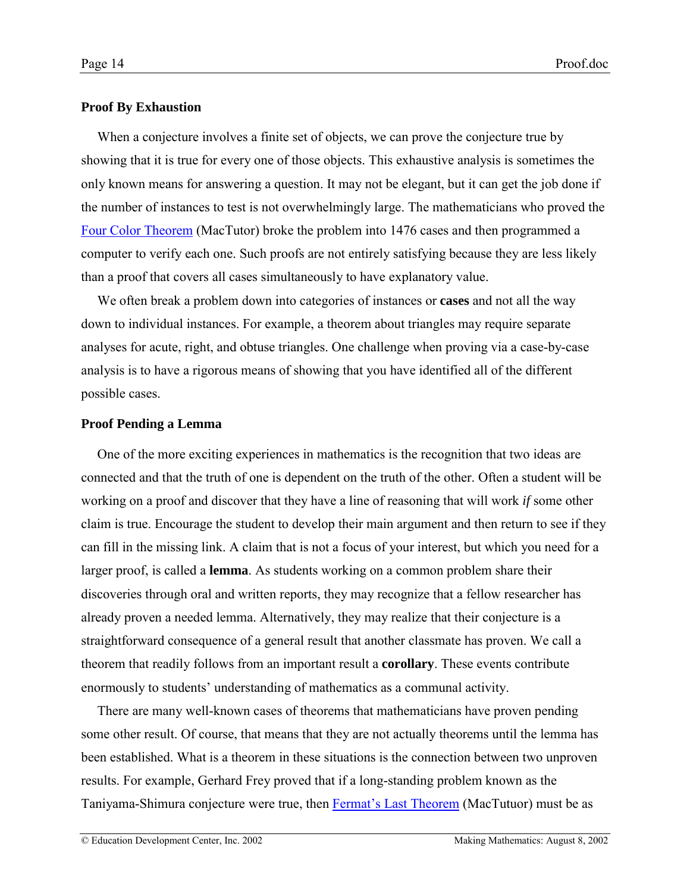### <span id="page-13-0"></span>**Proof By Exhaustion**

When a conjecture involves a finite set of objects, we can prove the conjecture true by showing that it is true for every one of those objects. This exhaustive analysis is sometimes the only known means for answering a question. It may not be elegant, but it can get the job done if the number of instances to test is not overwhelmingly large. The mathematicians who proved the [Four Color Theorem](http://www-groups.dcs.st-and.ac.uk/~history/HistTopics/The_four_colour_theorem.html) (MacTutor) broke the problem into 1476 cases and then programmed a computer to verify each one. Such proofs are not entirely satisfying because they are less likely than a proof that covers all cases simultaneously to have explanatory value.

We often break a problem down into categories of instances or **cases** and not all the way down to individual instances. For example, a theorem about triangles may require separate analyses for acute, right, and obtuse triangles. One challenge when proving via a case-by-case analysis is to have a rigorous means of showing that you have identified all of the different possible cases.

### **Proof Pending a Lemma**

One of the more exciting experiences in mathematics is the recognition that two ideas are connected and that the truth of one is dependent on the truth of the other. Often a student will be working on a proof and discover that they have a line of reasoning that will work *if* some other claim is true. Encourage the student to develop their main argument and then return to see if they can fill in the missing link. A claim that is not a focus of your interest, but which you need for a larger proof, is called a **lemma**. As students working on a common problem share their discoveries through oral and written reports, they may recognize that a fellow researcher has already proven a needed lemma. Alternatively, they may realize that their conjecture is a straightforward consequence of a general result that another classmate has proven. We call a theorem that readily follows from an important result a **corollary**. These events contribute enormously to students' understanding of mathematics as a communal activity.

There are many well-known cases of theorems that mathematicians have proven pending some other result. Of course, that means that they are not actually theorems until the lemma has been established. What is a theorem in these situations is the connection between two unproven results. For example, Gerhard Frey proved that if a long-standing problem known as the Taniyama-Shimura conjecture were true, then Fermat's Last Theorem (MacTutuor) must be as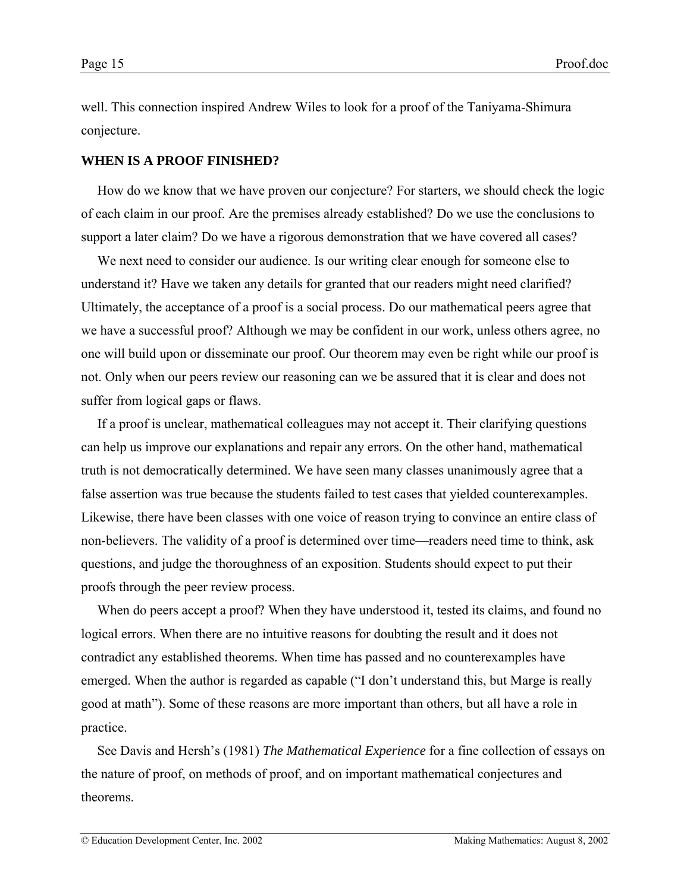<span id="page-14-0"></span>well. This connection inspired Andrew Wiles to look for a proof of the Taniyama-Shimura conjecture.

#### **WHEN IS A PROOF FINISHED?**

How do we know that we have proven our conjecture? For starters, we should check the logic of each claim in our proof. Are the premises already established? Do we use the conclusions to support a later claim? Do we have a rigorous demonstration that we have covered all cases?

We next need to consider our audience. Is our writing clear enough for someone else to understand it? Have we taken any details for granted that our readers might need clarified? Ultimately, the acceptance of a proof is a social process. Do our mathematical peers agree that we have a successful proof? Although we may be confident in our work, unless others agree, no one will build upon or disseminate our proof. Our theorem may even be right while our proof is not. Only when our peers review our reasoning can we be assured that it is clear and does not suffer from logical gaps or flaws.

If a proof is unclear, mathematical colleagues may not accept it. Their clarifying questions can help us improve our explanations and repair any errors. On the other hand, mathematical truth is not democratically determined. We have seen many classes unanimously agree that a false assertion was true because the students failed to test cases that yielded counterexamples. Likewise, there have been classes with one voice of reason trying to convince an entire class of non-believers. The validity of a proof is determined over time—readers need time to think, ask questions, and judge the thoroughness of an exposition. Students should expect to put their proofs through the peer review process.

When do peers accept a proof? When they have understood it, tested its claims, and found no logical errors. When there are no intuitive reasons for doubting the result and it does not contradict any established theorems. When time has passed and no counterexamples have emerged. When the author is regarded as capable ("I don't understand this, but Marge is really good at math"). Some of these reasons are more important than others, but all have a role in practice.

See Davis and Hersh's (1981) *The Mathematical Experience* for a fine collection of essays on the nature of proof, on methods of proof, and on important mathematical conjectures and theorems.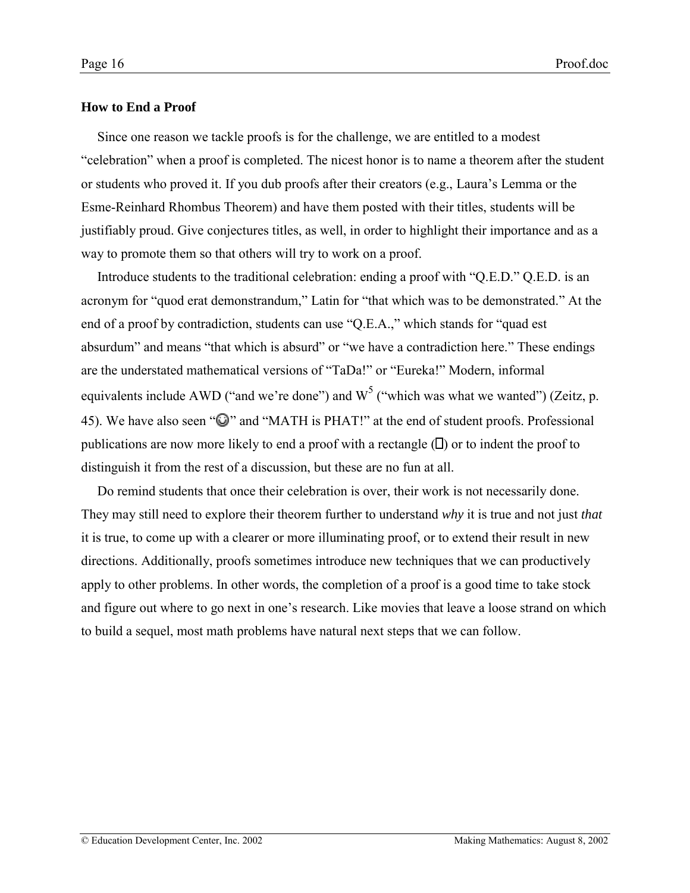### <span id="page-15-0"></span>**How to End a Proof**

Since one reason we tackle proofs is for the challenge, we are entitled to a modest ìcelebrationî when a proof is completed. The nicest honor is to name a theorem after the student or students who proved it. If you dub proofs after their creators (e.g., Lauraís Lemma or the Esme-Reinhard Rhombus Theorem) and have them posted with their titles, students will be justifiably proud. Give conjectures titles, as well, in order to highlight their importance and as a way to promote them so that others will try to work on a proof.

Introduce students to the traditional celebration: ending a proof with  $\degree$ Q.E.D. $\degree$  Q.E.D. is an acronym for "quod erat demonstrandum," Latin for "that which was to be demonstrated." At the end of a proof by contradiction, students can use  $\degree$ Q.E.A., $\degree$  which stands for  $\degree$ quad est absurdum" and means "that which is absurd" or "we have a contradiction here." These endings are the understated mathematical versions of "TaDa!" or "Eureka!" Modern, informal equivalents include AWD ("and we're done") and  $W^5$  ("which was what we wanted") (Zeitz, p. 45). We have also seen " $\mathbb{Q}$ " and "MATH is PHAT!" at the end of student proofs. Professional publications are now more likely to end a proof with a rectangle  $(D)$  or to indent the proof to distinguish it from the rest of a discussion, but these are no fun at all.

Do remind students that once their celebration is over, their work is not necessarily done. They may still need to explore their theorem further to understand *why* it is true and not just *that* it is true, to come up with a clearer or more illuminating proof, or to extend their result in new directions. Additionally, proofs sometimes introduce new techniques that we can productively apply to other problems. In other words, the completion of a proof is a good time to take stock and figure out where to go next in one's research. Like movies that leave a loose strand on which to build a sequel, most math problems have natural next steps that we can follow.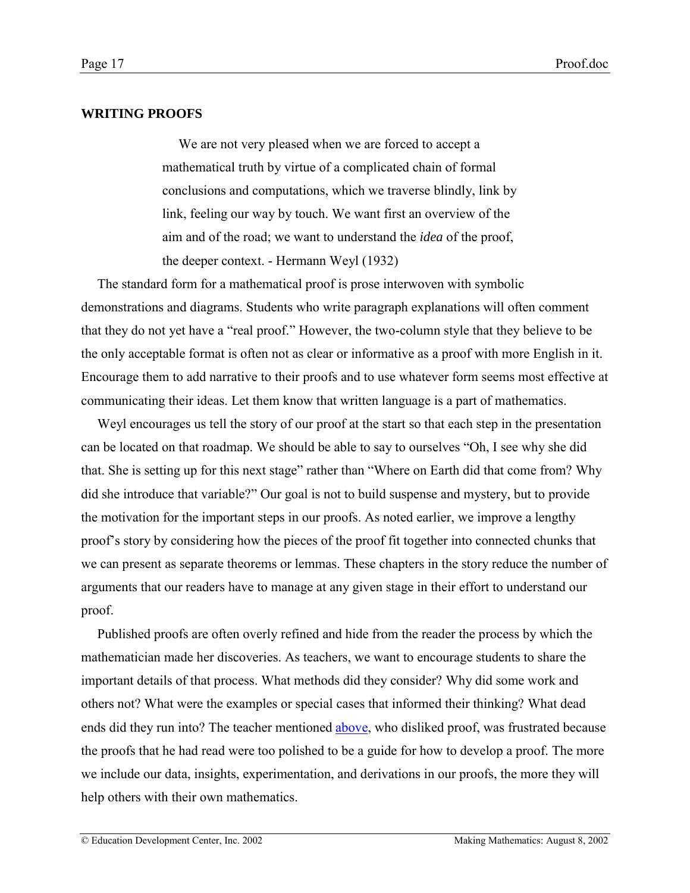# <span id="page-16-0"></span>**WRITING PROOFS**

We are not very pleased when we are forced to accept a mathematical truth by virtue of a complicated chain of formal conclusions and computations, which we traverse blindly, link by link, feeling our way by touch. We want first an overview of the aim and of the road; we want to understand the *idea* of the proof, the deeper context. - Hermann Weyl (1932)

The standard form for a mathematical proof is prose interwoven with symbolic demonstrations and diagrams. Students who write paragraph explanations will often comment that they do not yet have a "real proof." However, the two-column style that they believe to be the only acceptable format is often not as clear or informative as a proof with more English in it. Encourage them to add narrative to their proofs and to use whatever form seems most effective at communicating their ideas. Let them know that written language is a part of mathematics.

Weyl encourages us tell the story of our proof at the start so that each step in the presentation can be located on that roadmap. We should be able to say to ourselves "Oh, I see why she did that. She is setting up for this next stage" rather than "Where on Earth did that come from? Why did she introduce that variable?" Our goal is not to build suspense and mystery, but to provide the motivation for the important steps in our proofs. As noted earlier, we improve a lengthy proof's story by considering how the pieces of the proof fit together into connected chunks that we can present as separate theorems or lemmas. These chapters in the story reduce the number of arguments that our readers have to manage at any given stage in their effort to understand our proof.

Published proofs are often overly refined and hide from the reader the process by which the mathematician made her discoveries. As teachers, we want to encourage students to share the important details of that process. What methods did they consider? Why did some work and others not? What were the examples or special cases that informed their thinking? What dead ends did they run into? The teacher mentioned [above,](#page-4-0) who disliked proof, was frustrated because the proofs that he had read were too polished to be a guide for how to develop a proof. The more we include our data, insights, experimentation, and derivations in our proofs, the more they will help others with their own mathematics.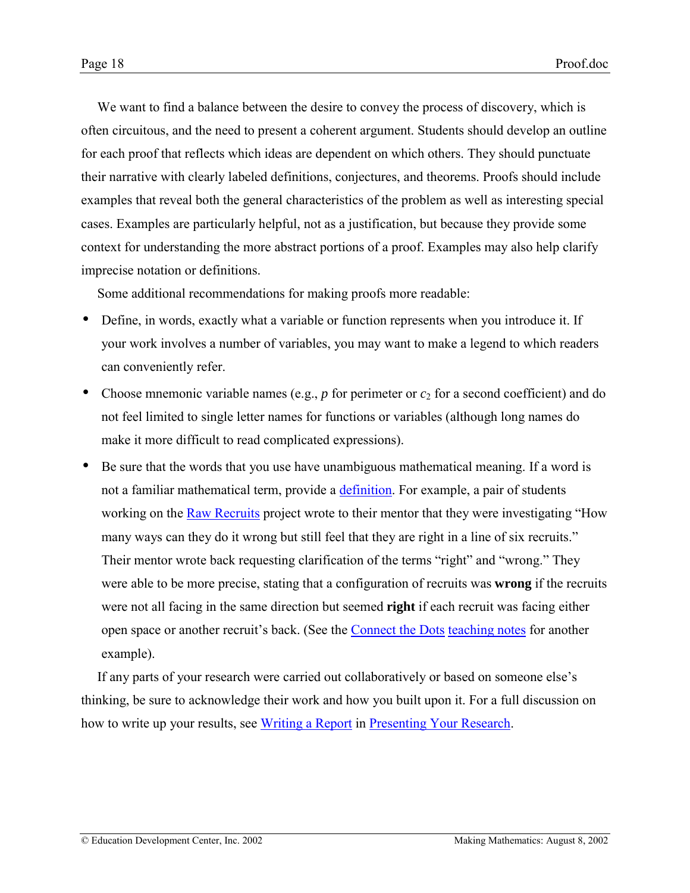We want to find a balance between the desire to convey the process of discovery, which is often circuitous, and the need to present a coherent argument. Students should develop an outline for each proof that reflects which ideas are dependent on which others. They should punctuate their narrative with clearly labeled definitions, conjectures, and theorems. Proofs should include examples that reveal both the general characteristics of the problem as well as interesting special cases. Examples are particularly helpful, not as a justification, but because they provide some context for understanding the more abstract portions of a proof. Examples may also help clarify imprecise notation or definitions.

Some additional recommendations for making proofs more readable:

- Define, in words, exactly what a variable or function represents when you introduce it. If your work involves a number of variables, you may want to make a legend to which readers can conveniently refer.
- Choose mnemonic variable names (e.g.,  $p$  for perimeter or  $c_2$  for a second coefficient) and do not feel limited to single letter names for functions or variables (although long names do make it more difficult to read complicated expressions).
- Be sure that the words that you use have unambiguous mathematical meaning. If a word is not a familiar mathematical term, provide a [definition.](http://www2.edc.org/makingmath/handbook/teacher/definitions/definitions.asp#WritingDefinitions) For example, a pair of students working on the [Raw Recruits](http://www2.edc.org/makingmath/mathprojects/recruits/Links/recruits_lnk_1.asp) project wrote to their mentor that they were investigating "How many ways can they do it wrong but still feel that they are right in a line of six recruits." Their mentor wrote back requesting clarification of the terms "right" and "wrong." They were able to be more precise, stating that a configuration of recruits was **wrong** if the recruits were not all facing in the same direction but seemed **right** if each recruit was facing either open space or another recruit's back. (See the [Connect the Dots](http://www2.edc.org/makingmath/mathsettings/connect/Connect.asp) [teaching notes](http://www2.edc.org/makingmath/mathsettings/connect/ConnectTheDots_TeachNotes.asp#Day3) for another example).

If any parts of your research were carried out collaboratively or based on someone else's thinking, be sure to acknowledge their work and how you built upon it. For a full discussion on how to write up your results, see [Writing a Report](http://www2.edc.org/makingmath/handbook/teacher/PresentingYourResearch/PresentingYourResearch.asp#WritingAReport) in [Presenting Your Research.](http://www2.edc.org/makingmath/handbook/teacher/PresentingYourResearch/PresentingYourReseach.asp)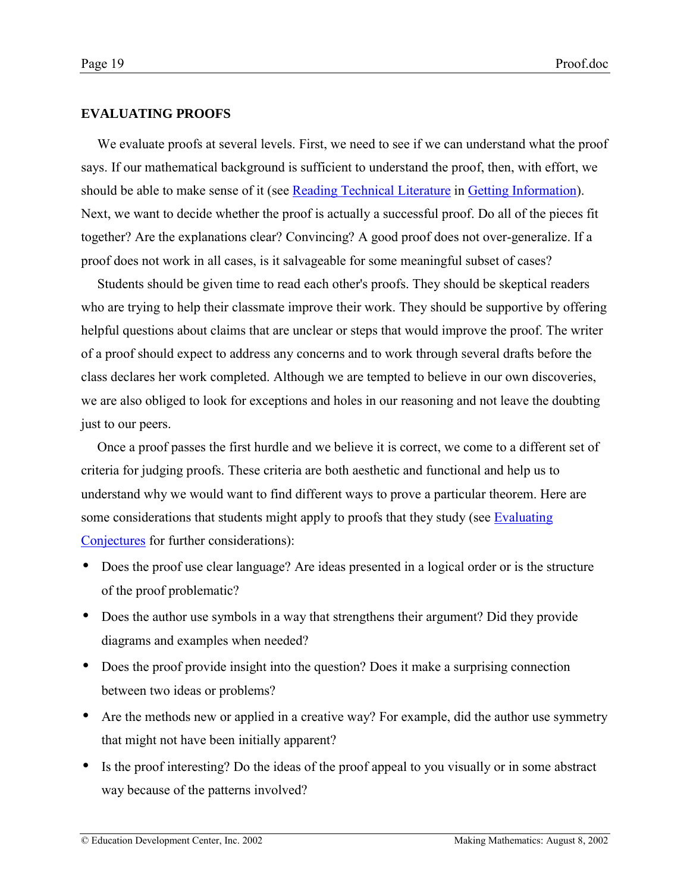## <span id="page-18-0"></span>**EVALUATING PROOFS**

We evaluate proofs at several levels. First, we need to see if we can understand what the proof says. If our mathematical background is sufficient to understand the proof, then, with effort, we should be able to make sense of it (see [Reading Technical Literature](http://www2.edc.org/makingmath/handbook/teacher/GettingInformation/GettingInformation.asp#ReadingTechnicalLiterature) in [Getting Information\)](http://www2.edc.org/makingmath/handbook/teacher/GettingInformation/GettingInformation.asp). Next, we want to decide whether the proof is actually a successful proof. Do all of the pieces fit together? Are the explanations clear? Convincing? A good proof does not over-generalize. If a proof does not work in all cases, is it salvageable for some meaningful subset of cases?

Students should be given time to read each other's proofs. They should be skeptical readers who are trying to help their classmate improve their work. They should be supportive by offering helpful questions about claims that are unclear or steps that would improve the proof. The writer of a proof should expect to address any concerns and to work through several drafts before the class declares her work completed. Although we are tempted to believe in our own discoveries, we are also obliged to look for exceptions and holes in our reasoning and not leave the doubting just to our peers.

Once a proof passes the first hurdle and we believe it is correct, we come to a different set of criteria for judging proofs. These criteria are both aesthetic and functional and help us to understand why we would want to find different ways to prove a particular theorem. Here are some considerations that students might apply to proofs that they study (see [Evaluating](http://www2.edc.org/makingmath/handbook/teacher/Conjectures/Conjectures.asp#EvaluatingConjectures) [Conjectures](http://www2.edc.org/makingmath/handbook/teacher/Conjectures/Conjectures.asp#EvaluatingConjectures) for further considerations):

- Does the proof use clear language? Are ideas presented in a logical order or is the structure of the proof problematic?
- Does the author use symbols in a way that strengthens their argument? Did they provide diagrams and examples when needed?
- Does the proof provide insight into the question? Does it make a surprising connection between two ideas or problems?
- Are the methods new or applied in a creative way? For example, did the author use symmetry that might not have been initially apparent?
- Is the proof interesting? Do the ideas of the proof appeal to you visually or in some abstract way because of the patterns involved?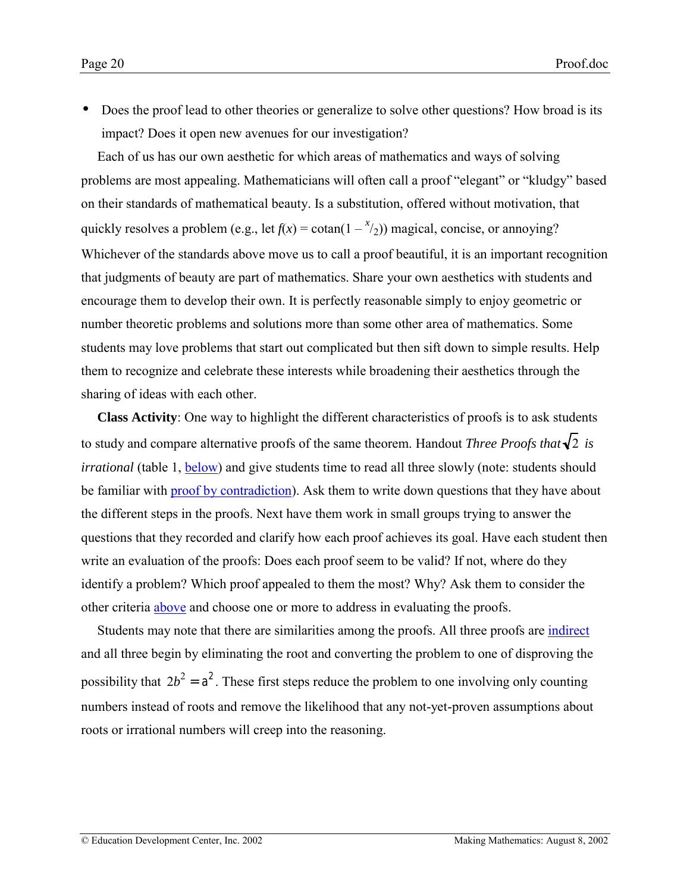<span id="page-19-0"></span>• Does the proof lead to other theories or generalize to solve other questions? How broad is its impact? Does it open new avenues for our investigation?

Each of us has our own aesthetic for which areas of mathematics and ways of solving problems are most appealing. Mathematicians will often call a proof "elegant" or "kludgy" based on their standards of mathematical beauty. Is a substitution, offered without motivation, that quickly resolves a problem (e.g., let  $f(x) = \cotan(1 - \frac{x}{2})$ ) magical, concise, or annoying? Whichever of the standards above move us to call a proof beautiful, it is an important recognition that judgments of beauty are part of mathematics. Share your own aesthetics with students and encourage them to develop their own. It is perfectly reasonable simply to enjoy geometric or number theoretic problems and solutions more than some other area of mathematics. Some students may love problems that start out complicated but then sift down to simple results. Help them to recognize and celebrate these interests while broadening their aesthetics through the sharing of ideas with each other.

**Class Activity**: One way to highlight the different characteristics of proofs is to ask students to study and compare alternative proofs of the same theorem. Handout *Three Proofs that*  $\sqrt{2}$  is *irrational* (table 1, **below**) and give students time to read all three slowly (note: students should be familiar with [proof by contradiction\)](http://www2.edc.org/makingmath/mathtools/contradiction/contradiction.asp). Ask them to write down questions that they have about the different steps in the proofs. Next have them work in small groups trying to answer the questions that they recorded and clarify how each proof achieves its goal. Have each student then write an evaluation of the proofs: Does each proof seem to be valid? If not, where do they identify a problem? Which proof appealed to them the most? Why? Ask them to consider the other criteria [above](#page-18-0) and choose one or more to address in evaluating the proofs.

Students may note that there are similarities among the proofs. All three proofs are [indirect](http://www2.edc.org/makingmath/mathtools/contradiction/contradiction.asp) and all three begin by eliminating the root and converting the problem to one of disproving the possibility that  $2b^2 = a^2$ . These first steps reduce the problem to one involving only counting numbers instead of roots and remove the likelihood that any not-yet-proven assumptions about roots or irrational numbers will creep into the reasoning.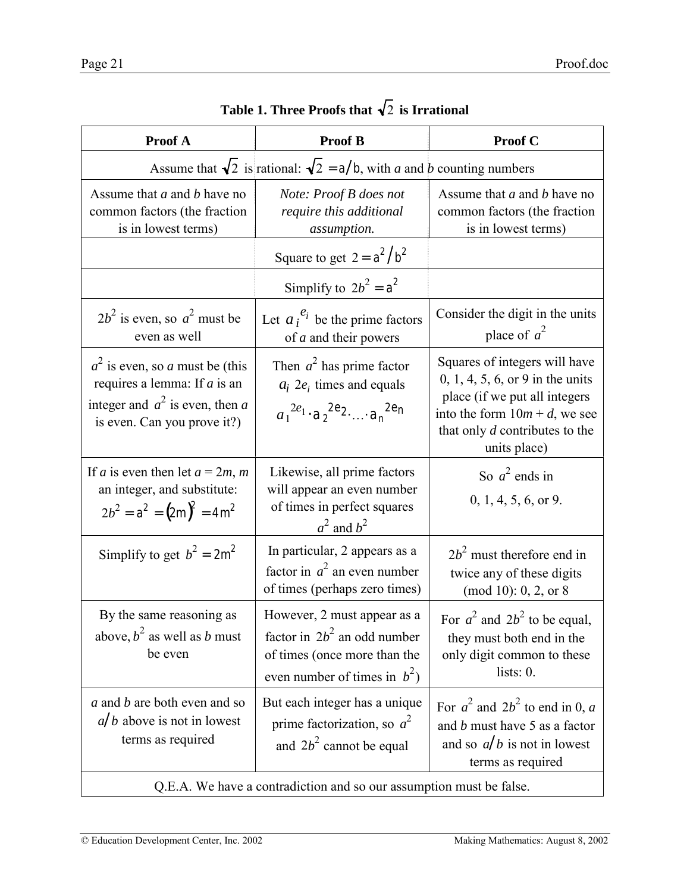<span id="page-20-0"></span>

| Proof A                                                                                                                                                                                                                                                   | <b>Proof B</b>                                                                                                                   | Proof C                                                                                                                                                                                    |  |  |  |  |  |
|-----------------------------------------------------------------------------------------------------------------------------------------------------------------------------------------------------------------------------------------------------------|----------------------------------------------------------------------------------------------------------------------------------|--------------------------------------------------------------------------------------------------------------------------------------------------------------------------------------------|--|--|--|--|--|
| Assume that $\sqrt{2}$ is rational: $\sqrt{2} = a/b$ , with a and b counting numbers                                                                                                                                                                      |                                                                                                                                  |                                                                                                                                                                                            |  |  |  |  |  |
| Assume that <i>a</i> and <i>b</i> have no<br>common factors (the fraction<br>is in lowest terms)                                                                                                                                                          | Note: Proof B does not<br>require this additional<br>assumption.                                                                 | Assume that <i>a</i> and <i>b</i> have no<br>common factors (the fraction<br>is in lowest terms)                                                                                           |  |  |  |  |  |
|                                                                                                                                                                                                                                                           | Square to get $2 = a^2/b^2$                                                                                                      |                                                                                                                                                                                            |  |  |  |  |  |
|                                                                                                                                                                                                                                                           | Simplify to $2b^2 = a^2$                                                                                                         |                                                                                                                                                                                            |  |  |  |  |  |
| $2b^2$ is even, so $a^2$ must be<br>even as well                                                                                                                                                                                                          | Let $a_i^{e_i}$ be the prime factors<br>of <i>a</i> and their powers                                                             | Consider the digit in the units<br>place of $a^2$                                                                                                                                          |  |  |  |  |  |
| Then $a^2$ has prime factor<br>$a2$ is even, so a must be (this<br>requires a lemma: If $a$ is an<br>$a_i$ 2 $e_i$ times and equals<br>integer and $a^2$ is even, then a<br>$a_1^{2e_1} \cdot a_2^{2e_2} \dots a_n^{2e_n}$<br>is even. Can you prove it?) |                                                                                                                                  | Squares of integers will have<br>$0, 1, 4, 5, 6, or 9$ in the units<br>place (if we put all integers<br>into the form $10m + d$ , we see<br>that only d contributes to the<br>units place) |  |  |  |  |  |
| If <i>a</i> is even then let $a = 2m$ , <i>m</i><br>an integer, and substitute:<br>$2b^2 = a^2 = (2m)^2 = 4m^2$                                                                                                                                           | Likewise, all prime factors<br>will appear an even number<br>of times in perfect squares<br>$a^2$ and $b^2$                      | So $a^2$ ends in<br>0, 1, 4, 5, 6, or 9.                                                                                                                                                   |  |  |  |  |  |
| Simplify to get $b^2 = 2m^2$                                                                                                                                                                                                                              | In particular, 2 appears as a<br>factor in $a^2$ an even number<br>of times (perhaps zero times)                                 | $2b2$ must therefore end in<br>twice any of these digits<br>(mod 10): 0, 2, or 8                                                                                                           |  |  |  |  |  |
| By the same reasoning as<br>above, $b^2$ as well as b must<br>be even                                                                                                                                                                                     | However, 2 must appear as a<br>factor in $2b^2$ an odd number<br>of times (once more than the<br>even number of times in $b^2$ ) | For $a^2$ and $2b^2$ to be equal,<br>they must both end in the<br>only digit common to these<br>lists: $0$ .                                                                               |  |  |  |  |  |
| a and b are both even and so<br>$a/b$ above is not in lowest<br>terms as required                                                                                                                                                                         | But each integer has a unique<br>prime factorization, so $a^2$<br>and $2b^2$ cannot be equal                                     | For $a^2$ and $2b^2$ to end in 0, a<br>and <i>b</i> must have 5 as a factor<br>and so $a/b$ is not in lowest<br>terms as required                                                          |  |  |  |  |  |

Table 1. Three Proofs that  $\sqrt{2}$  is Irrational

Q.E.A. We have a contradiction and so our assumption must be false.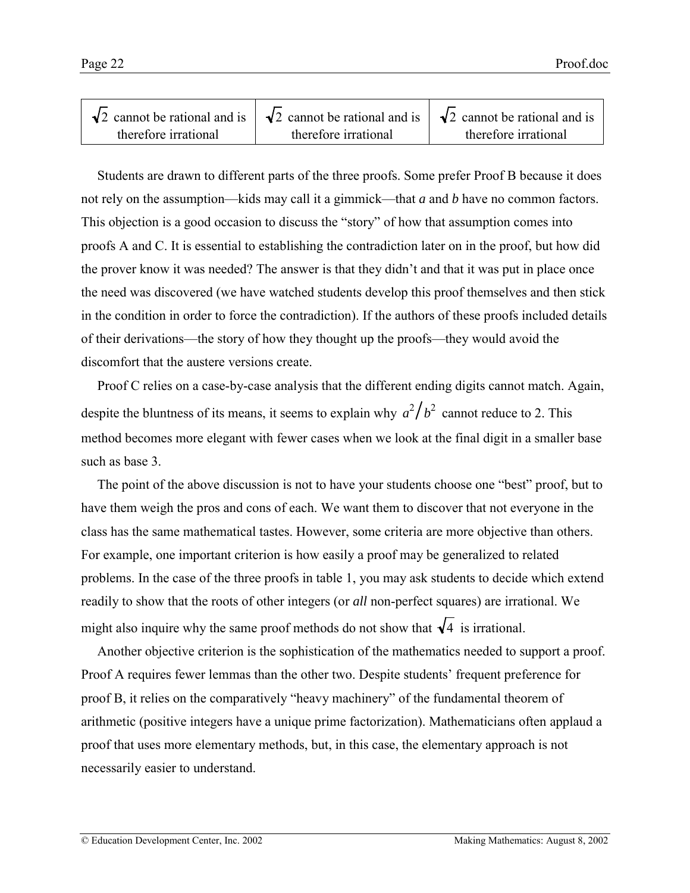|                      | $\sqrt{2}$ cannot be rational and is $\sqrt{2}$ cannot be rational and is $\sqrt{2}$ cannot be rational and is |                      |
|----------------------|----------------------------------------------------------------------------------------------------------------|----------------------|
| therefore irrational | therefore irrational                                                                                           | therefore irrational |

Students are drawn to different parts of the three proofs. Some prefer Proof B because it does not rely on the assumption—kids may call it a gimmick—that *a* and *b* have no common factors. This objection is a good occasion to discuss the "story" of how that assumption comes into proofs A and C. It is essential to establishing the contradiction later on in the proof, but how did the prover know it was needed? The answer is that they didn't and that it was put in place once the need was discovered (we have watched students develop this proof themselves and then stick in the condition in order to force the contradiction). If the authors of these proofs included details of their derivations—the story of how they thought up the proofs—they would avoid the discomfort that the austere versions create.

Proof C relies on a case-by-case analysis that the different ending digits cannot match. Again, despite the bluntness of its means, it seems to explain why  $a^2/b^2$  cannot reduce to 2. This method becomes more elegant with fewer cases when we look at the final digit in a smaller base such as base 3.

The point of the above discussion is not to have your students choose one "best" proof, but to have them weigh the pros and cons of each. We want them to discover that not everyone in the class has the same mathematical tastes. However, some criteria are more objective than others. For example, one important criterion is how easily a proof may be generalized to related problems. In the case of the three proofs in table 1, you may ask students to decide which extend readily to show that the roots of other integers (or *all* non-perfect squares) are irrational. We might also inquire why the same proof methods do not show that  $\sqrt{4}$  is irrational.

Another objective criterion is the sophistication of the mathematics needed to support a proof. Proof A requires fewer lemmas than the other two. Despite students' frequent preference for proof B, it relies on the comparatively "heavy machinery" of the fundamental theorem of arithmetic (positive integers have a unique prime factorization). Mathematicians often applaud a proof that uses more elementary methods, but, in this case, the elementary approach is not necessarily easier to understand.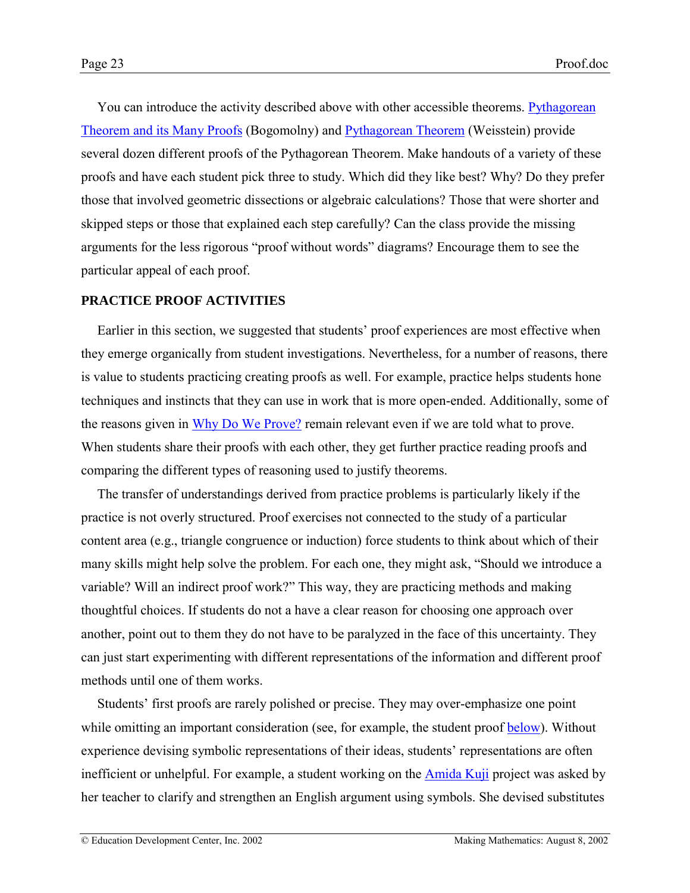<span id="page-22-0"></span>You can introduce the activity described above with other accessible theorems. [Pythagorean](http://www.cut-the-knot.com/pythagoras) [Theorem and its Many Proofs](http://www.cut-the-knot.com/pythagoras) (Bogomolny) and [Pythagorean Theorem](http://mathworld.wolfram.com/PythagoreanTheorem.html) (Weisstein) provide several dozen different proofs of the Pythagorean Theorem. Make handouts of a variety of these proofs and have each student pick three to study. Which did they like best? Why? Do they prefer those that involved geometric dissections or algebraic calculations? Those that were shorter and skipped steps or those that explained each step carefully? Can the class provide the missing arguments for the less rigorous "proof without words" diagrams? Encourage them to see the particular appeal of each proof.

### **PRACTICE PROOF ACTIVITIES**

Earlier in this section, we suggested that students' proof experiences are most effective when they emerge organically from student investigations. Nevertheless, for a number of reasons, there is value to students practicing creating proofs as well. For example, practice helps students hone techniques and instincts that they can use in work that is more open-ended. Additionally, some of the reasons given in [Why Do We Prove?](#page-2-0) remain relevant even if we are told what to prove. When students share their proofs with each other, they get further practice reading proofs and comparing the different types of reasoning used to justify theorems.

The transfer of understandings derived from practice problems is particularly likely if the practice is not overly structured. Proof exercises not connected to the study of a particular content area (e.g., triangle congruence or induction) force students to think about which of their many skills might help solve the problem. For each one, they might ask, "Should we introduce a variable? Will an indirect proof work?" This way, they are practicing methods and making thoughtful choices. If students do not a have a clear reason for choosing one approach over another, point out to them they do not have to be paralyzed in the face of this uncertainty. They can just start experimenting with different representations of the information and different proof methods until one of them works.

Students' first proofs are rarely polished or precise. They may over-emphasize one point while omitting an important consideration (see, for example, the student proof [below\)](#page-37-0). Without experience devising symbolic representations of their ideas, students' representations are often inefficient or unhelpful. For example, a student working on the [Amida Kuji](http://www2.edc.org/makingmath/mathprojects/amidakuji/links/amidakuji_lnk_1.asp) project was asked by her teacher to clarify and strengthen an English argument using symbols. She devised substitutes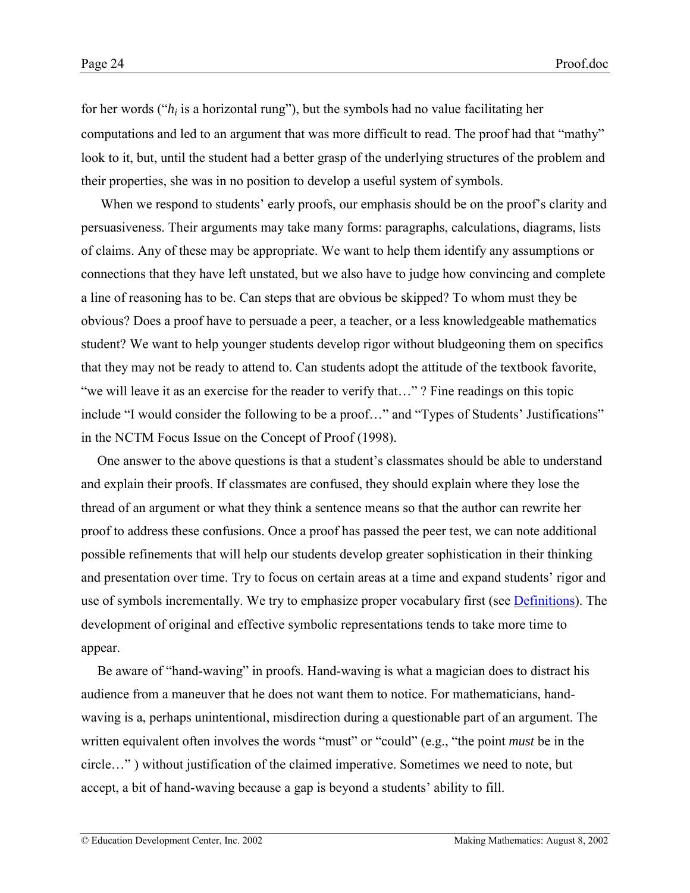for her words ( $h_i$  is a horizontal rung"), but the symbols had no value facilitating her computations and led to an argument that was more difficult to read. The proof had that "mathy" look to it, but, until the student had a better grasp of the underlying structures of the problem and their properties, she was in no position to develop a useful system of symbols.

When we respond to students' early proofs, our emphasis should be on the proof's clarity and persuasiveness. Their arguments may take many forms: paragraphs, calculations, diagrams, lists of claims. Any of these may be appropriate. We want to help them identify any assumptions or connections that they have left unstated, but we also have to judge how convincing and complete a line of reasoning has to be. Can steps that are obvious be skipped? To whom must they be obvious? Does a proof have to persuade a peer, a teacher, or a less knowledgeable mathematics student? We want to help younger students develop rigor without bludgeoning them on specifics that they may not be ready to attend to. Can students adopt the attitude of the textbook favorite, "we will leave it as an exercise for the reader to verify that..."? Fine readings on this topic include "I would consider the following to be a proof..." and "Types of Students' Justifications" in the NCTM Focus Issue on the Concept of Proof (1998).

One answer to the above questions is that a student's classmates should be able to understand and explain their proofs. If classmates are confused, they should explain where they lose the thread of an argument or what they think a sentence means so that the author can rewrite her proof to address these confusions. Once a proof has passed the peer test, we can note additional possible refinements that will help our students develop greater sophistication in their thinking and presentation over time. Try to focus on certain areas at a time and expand students' rigor and use of symbols incrementally. We try to emphasize proper vocabulary first (see **Definitions**). The development of original and effective symbolic representations tends to take more time to appear.

Be aware of "hand-waving" in proofs. Hand-waving is what a magician does to distract his audience from a maneuver that he does not want them to notice. For mathematicians, handwaving is a, perhaps unintentional, misdirection during a questionable part of an argument. The written equivalent often involves the words "must" or "could" (e.g., "the point *must* be in the circle...") without justification of the claimed imperative. Sometimes we need to note, but accept, a bit of hand-waving because a gap is beyond a students' ability to fill.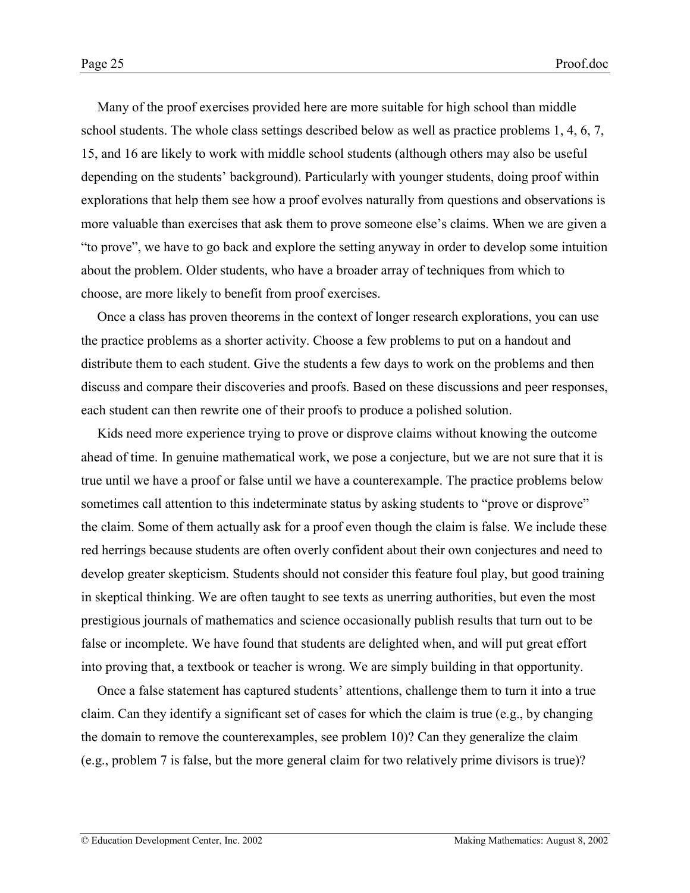Many of the proof exercises provided here are more suitable for high school than middle school students. The whole class settings described below as well as practice problems 1, 4, 6, 7, 15, and 16 are likely to work with middle school students (although others may also be useful depending on the studentsí background). Particularly with younger students, doing proof within explorations that help them see how a proof evolves naturally from questions and observations is more valuable than exercises that ask them to prove someone else's claims. When we are given a ìto proveî, we have to go back and explore the setting anyway in order to develop some intuition about the problem. Older students, who have a broader array of techniques from which to choose, are more likely to benefit from proof exercises.

Once a class has proven theorems in the context of longer research explorations, you can use the practice problems as a shorter activity. Choose a few problems to put on a handout and distribute them to each student. Give the students a few days to work on the problems and then discuss and compare their discoveries and proofs. Based on these discussions and peer responses, each student can then rewrite one of their proofs to produce a polished solution.

Kids need more experience trying to prove or disprove claims without knowing the outcome ahead of time. In genuine mathematical work, we pose a conjecture, but we are not sure that it is true until we have a proof or false until we have a counterexample. The practice problems below sometimes call attention to this indeterminate status by asking students to "prove or disprove" the claim. Some of them actually ask for a proof even though the claim is false. We include these red herrings because students are often overly confident about their own conjectures and need to develop greater skepticism. Students should not consider this feature foul play, but good training in skeptical thinking. We are often taught to see texts as unerring authorities, but even the most prestigious journals of mathematics and science occasionally publish results that turn out to be false or incomplete. We have found that students are delighted when, and will put great effort into proving that, a textbook or teacher is wrong. We are simply building in that opportunity.

Once a false statement has captured students' attentions, challenge them to turn it into a true claim. Can they identify a significant set of cases for which the claim is true (e.g., by changing the domain to remove the counterexamples, see problem 10)? Can they generalize the claim (e.g., problem 7 is false, but the more general claim for two relatively prime divisors is true)?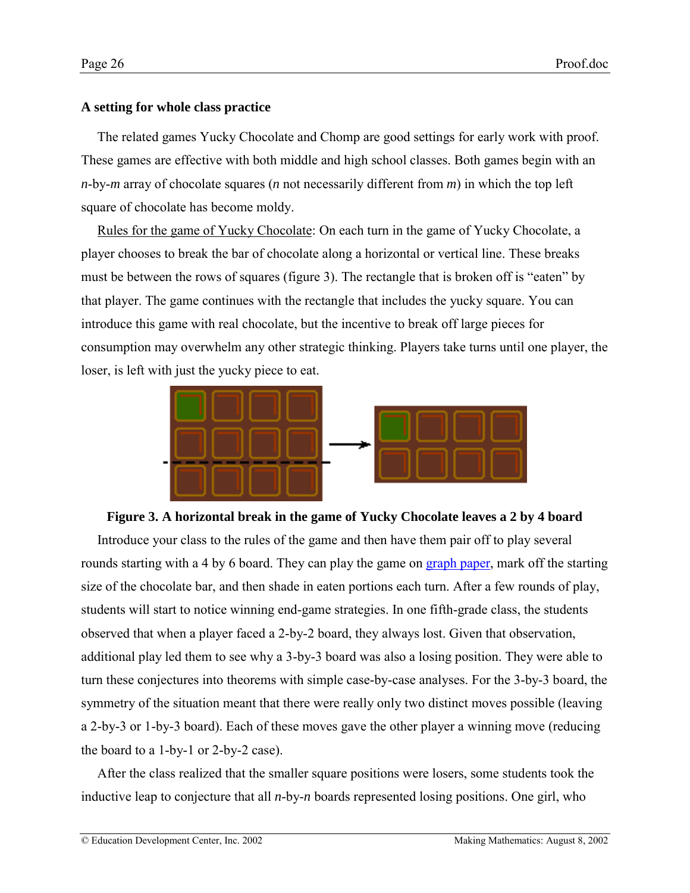# <span id="page-25-0"></span>**A setting for whole class practice**

The related games Yucky Chocolate and Chomp are good settings for early work with proof. These games are effective with both middle and high school classes. Both games begin with an *n*-by-*m* array of chocolate squares (*n* not necessarily different from *m*) in which the top left square of chocolate has become moldy.

Rules for the game of Yucky Chocolate: On each turn in the game of Yucky Chocolate, a player chooses to break the bar of chocolate along a horizontal or vertical line. These breaks must be between the rows of squares (figure 3). The rectangle that is broken off is "eaten" by that player. The game continues with the rectangle that includes the yucky square. You can introduce this game with real chocolate, but the incentive to break off large pieces for consumption may overwhelm any other strategic thinking. Players take turns until one player, the loser, is left with just the yucky piece to eat.



## **Figure 3. A horizontal break in the game of Yucky Chocolate leaves a 2 by 4 board**

Introduce your class to the rules of the game and then have them pair off to play several rounds starting with a 4 by 6 board. They can play the game on [graph paper,](#page-0-0) mark off the starting size of the chocolate bar, and then shade in eaten portions each turn. After a few rounds of play, students will start to notice winning end-game strategies. In one fifth-grade class, the students observed that when a player faced a 2-by-2 board, they always lost. Given that observation, additional play led them to see why a 3-by-3 board was also a losing position. They were able to turn these conjectures into theorems with simple case-by-case analyses. For the 3-by-3 board, the symmetry of the situation meant that there were really only two distinct moves possible (leaving a 2-by-3 or 1-by-3 board). Each of these moves gave the other player a winning move (reducing the board to a 1-by-1 or 2-by-2 case).

After the class realized that the smaller square positions were losers, some students took the inductive leap to conjecture that all *n*-by-*n* boards represented losing positions. One girl, who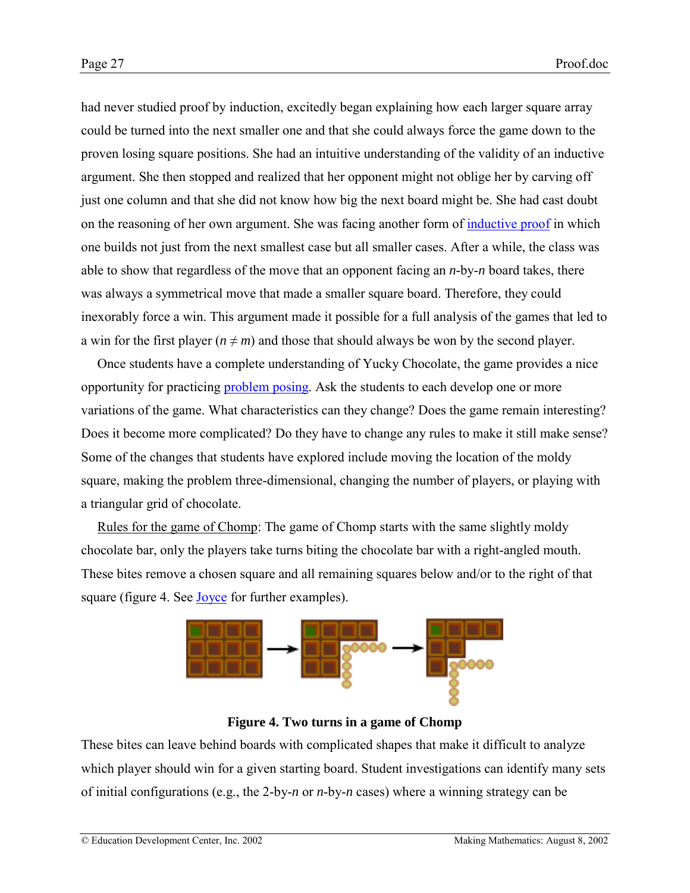had never studied proof by induction, excitedly began explaining how each larger square array could be turned into the next smaller one and that she could always force the game down to the proven losing square positions. She had an intuitive understanding of the validity of an inductive argument. She then stopped and realized that her opponent might not oblige her by carving off just one column and that she did not know how big the next board might be. She had cast doubt on the reasoning of her own argument. She was facing another form of [inductive proof](http://www2.edc.org/makingmath/mathtools/induction/induction.asp) in which one builds not just from the next smallest case but all smaller cases. After a while, the class was able to show that regardless of the move that an opponent facing an *n*-by-*n* board takes, there was always a symmetrical move that made a smaller square board. Therefore, they could inexorably force a win. This argument made it possible for a full analysis of the games that led to a win for the first player ( $n \neq m$ ) and those that should always be won by the second player.

Once students have a complete understanding of Yucky Chocolate, the game provides a nice opportunity for practicing [problem posing.](http://www2.edc.org/makingmath/handbook/teacher/problemposing/problemposing.asp) Ask the students to each develop one or more variations of the game. What characteristics can they change? Does the game remain interesting? Does it become more complicated? Do they have to change any rules to make it still make sense? Some of the changes that students have explored include moving the location of the moldy square, making the problem three-dimensional, changing the number of players, or playing with a triangular grid of chocolate.

Rules for the game of Chomp: The game of Chomp starts with the same slightly moldy chocolate bar, only the players take turns biting the chocolate bar with a right-angled mouth. These bites remove a chosen square and all remaining squares below and/or to the right of that square (figure 4. See [Joyce](http://plus.maths.org/issue14/xfile/) for further examples).



**Figure 4. Two turns in a game of Chomp**

These bites can leave behind boards with complicated shapes that make it difficult to analyze which player should win for a given starting board. Student investigations can identify many sets of initial configurations (e.g., the 2-by-*n* or *n*-by-*n* cases) where a winning strategy can be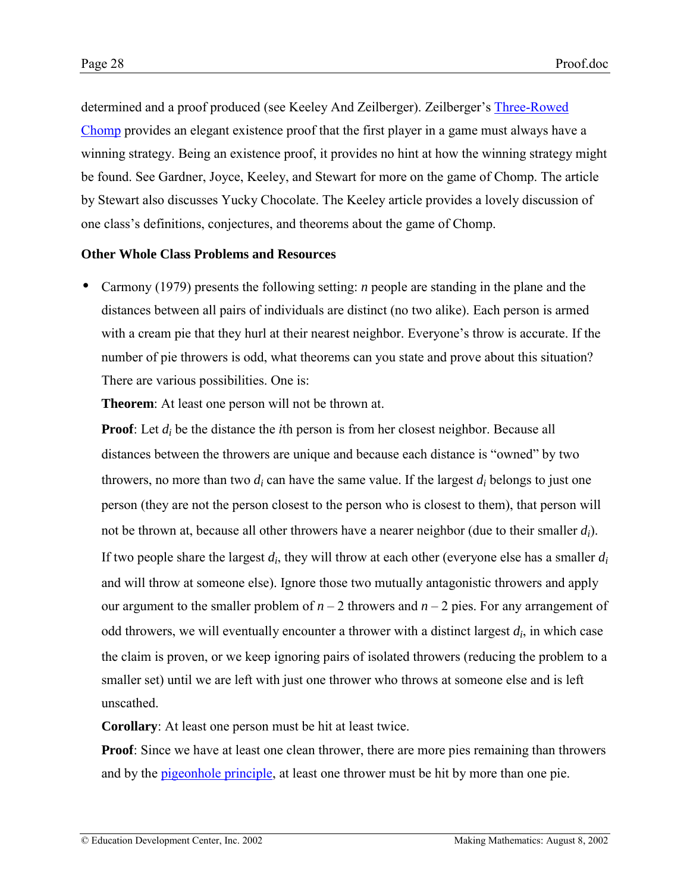<span id="page-27-0"></span>determined and a proof produced (see Keeley And Zeilberger). Zeilberger's [Three-Rowed](http://www.math.rutgers.edu/~zeilberg/mamarim/mamarimPDF/chomp.pdf) [Chomp](http://www.math.rutgers.edu/~zeilberg/mamarim/mamarimPDF/chomp.pdf) provides an elegant existence proof that the first player in a game must always have a winning strategy. Being an existence proof, it provides no hint at how the winning strategy might be found. See Gardner, Joyce, Keeley, and Stewart for more on the game of Chomp. The article by Stewart also discusses Yucky Chocolate. The Keeley article provides a lovely discussion of one class's definitions, conjectures, and theorems about the game of Chomp.

# **Other Whole Class Problems and Resources**

• Carmony (1979) presents the following setting: *n* people are standing in the plane and the distances between all pairs of individuals are distinct (no two alike). Each person is armed with a cream pie that they hurl at their nearest neighbor. Everyone's throw is accurate. If the number of pie throwers is odd, what theorems can you state and prove about this situation? There are various possibilities. One is:

**Theorem**: At least one person will not be thrown at.

**Proof**: Let  $d_i$  be the distance the *i*th person is from her closest neighbor. Because all distances between the throwers are unique and because each distance is "owned" by two throwers, no more than two  $d_i$  can have the same value. If the largest  $d_i$  belongs to just one person (they are not the person closest to the person who is closest to them), that person will not be thrown at, because all other throwers have a nearer neighbor (due to their smaller *di*). If two people share the largest *di*, they will throw at each other (everyone else has a smaller *di* and will throw at someone else). Ignore those two mutually antagonistic throwers and apply our argument to the smaller problem of  $n - 2$  throwers and  $n - 2$  pies. For any arrangement of odd throwers, we will eventually encounter a thrower with a distinct largest *di*, in which case the claim is proven, or we keep ignoring pairs of isolated throwers (reducing the problem to a smaller set) until we are left with just one thrower who throws at someone else and is left unscathed.

**Corollary**: At least one person must be hit at least twice.

**Proof**: Since we have at least one clean thrower, there are more pies remaining than throwers and by the <u>pigeonhole principle</u>, at least one thrower must be hit by more than one pie.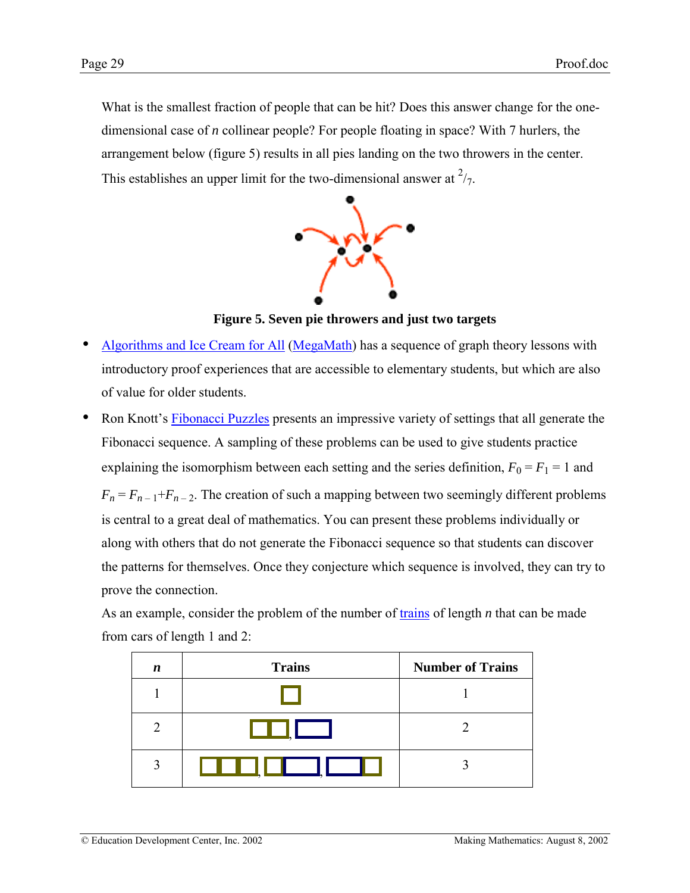What is the smallest fraction of people that can be hit? Does this answer change for the onedimensional case of *n* collinear people? For people floating in space? With 7 hurlers, the arrangement below (figure 5) results in all pies landing on the two throwers in the center. This establishes an upper limit for the two-dimensional answer at  $\frac{2}{7}$ .



**Figure 5. Seven pie throwers and just two targets**

- [Algorithms and Ice Cream for All](http://www.cs.uidaho.edu/~casey931/mega-math/workbk/dom/dom.html) ([MegaMath\)](http://www.cs.uidaho.edu/~casey931/mega-math/) has a sequence of graph theory lessons with introductory proof experiences that are accessible to elementary students, but which are also of value for older students.
- Ron Knott's [Fibonacci Puzzles](http://www.mcs.surrey.ac.uk/Personal/R.Knott/Fibonacci/fibpuzzles.html) presents an impressive variety of settings that all generate the Fibonacci sequence. A sampling of these problems can be used to give students practice explaining the isomorphism between each setting and the series definition,  $F_0 = F_1 = 1$  and  $F_n = F_{n-1} + F_{n-2}$ . The creation of such a mapping between two seemingly different problems is central to a great deal of mathematics. You can present these problems individually or along with others that do not generate the Fibonacci sequence so that students can discover the patterns for themselves. Once they conjecture which sequence is involved, they can try to prove the connection.

As an example, consider the problem of the number of [trains](http://www2.edc.org/makingmath/mathprojects/trains/trains.asp) of length *n* that can be made from cars of length 1 and 2:

| n                           | <b>Trains</b> | <b>Number of Trains</b> |
|-----------------------------|---------------|-------------------------|
|                             |               |                         |
| $\mathcal{D}_{\mathcal{L}}$ |               |                         |
| 3                           | H             |                         |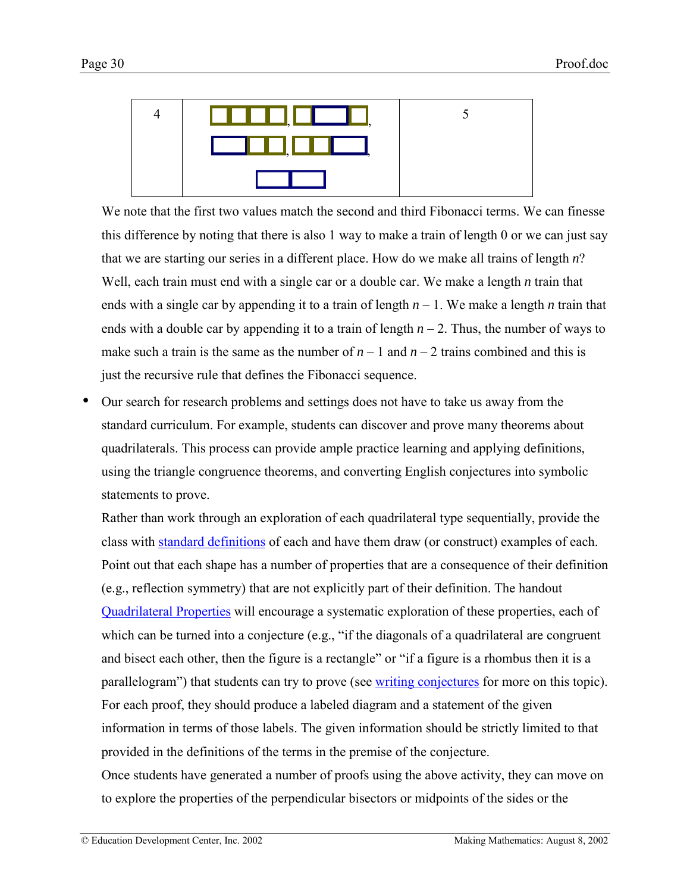

We note that the first two values match the second and third Fibonacci terms. We can finesse this difference by noting that there is also 1 way to make a train of length 0 or we can just say that we are starting our series in a different place. How do we make all trains of length *n*? Well, each train must end with a single car or a double car. We make a length *n* train that ends with a single car by appending it to a train of length  $n-1$ . We make a length *n* train that ends with a double car by appending it to a train of length  $n - 2$ . Thus, the number of ways to make such a train is the same as the number of  $n - 1$  and  $n - 2$  trains combined and this is just the recursive rule that defines the Fibonacci sequence.

• Our search for research problems and settings does not have to take us away from the standard curriculum. For example, students can discover and prove many theorems about quadrilaterals. This process can provide ample practice learning and applying definitions, using the triangle congruence theorems, and converting English conjectures into symbolic statements to prove.

Rather than work through an exploration of each quadrilateral type sequentially, provide the class with [standard definitions](#page-0-0) of each and have them draw (or construct) examples of each. Point out that each shape has a number of properties that are a consequence of their definition (e.g., reflection symmetry) that are not explicitly part of their definition. The handout [Quadrilateral Properties](#page-0-0) will encourage a systematic exploration of these properties, each of which can be turned into a conjecture  $(e.g., "if the diagonals of a quadrilateral are congruent)$ and bisect each other, then the figure is a rectangle" or "if a figure is a rhombus then it is a parallelogram") that students can try to prove (see [writing conjectures](http://www2.edc.org/makingmath/handbook/teacher/conjectures/conjectures.asp#WritingConjectures) for more on this topic). For each proof, they should produce a labeled diagram and a statement of the given information in terms of those labels. The given information should be strictly limited to that provided in the definitions of the terms in the premise of the conjecture.

Once students have generated a number of proofs using the above activity, they can move on to explore the properties of the perpendicular bisectors or midpoints of the sides or the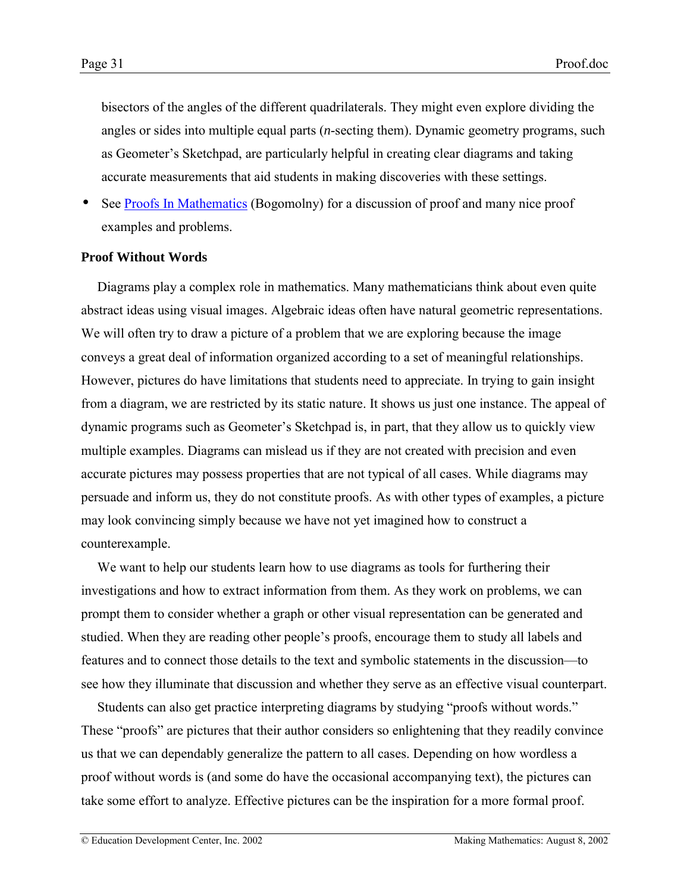<span id="page-30-0"></span>bisectors of the angles of the different quadrilaterals. They might even explore dividing the angles or sides into multiple equal parts (*n*-secting them). Dynamic geometry programs, such as Geometer's Sketchpad, are particularly helpful in creating clear diagrams and taking accurate measurements that aid students in making discoveries with these settings.

See [Proofs In Mathematics](http://www.cut-the-knot.com/proofs/index.html) (Bogomolny) for a discussion of proof and many nice proof examples and problems.

### **Proof Without Words**

Diagrams play a complex role in mathematics. Many mathematicians think about even quite abstract ideas using visual images. Algebraic ideas often have natural geometric representations. We will often try to draw a picture of a problem that we are exploring because the image conveys a great deal of information organized according to a set of meaningful relationships. However, pictures do have limitations that students need to appreciate. In trying to gain insight from a diagram, we are restricted by its static nature. It shows us just one instance. The appeal of dynamic programs such as Geometer's Sketchpad is, in part, that they allow us to quickly view multiple examples. Diagrams can mislead us if they are not created with precision and even accurate pictures may possess properties that are not typical of all cases. While diagrams may persuade and inform us, they do not constitute proofs. As with other types of examples, a picture may look convincing simply because we have not yet imagined how to construct a counterexample.

We want to help our students learn how to use diagrams as tools for furthering their investigations and how to extract information from them. As they work on problems, we can prompt them to consider whether a graph or other visual representation can be generated and studied. When they are reading other people's proofs, encourage them to study all labels and features and to connect those details to the text and symbolic statements in the discussion—to see how they illuminate that discussion and whether they serve as an effective visual counterpart.

Students can also get practice interpreting diagrams by studying "proofs without words." These "proofs" are pictures that their author considers so enlightening that they readily convince us that we can dependably generalize the pattern to all cases. Depending on how wordless a proof without words is (and some do have the occasional accompanying text), the pictures can take some effort to analyze. Effective pictures can be the inspiration for a more formal proof.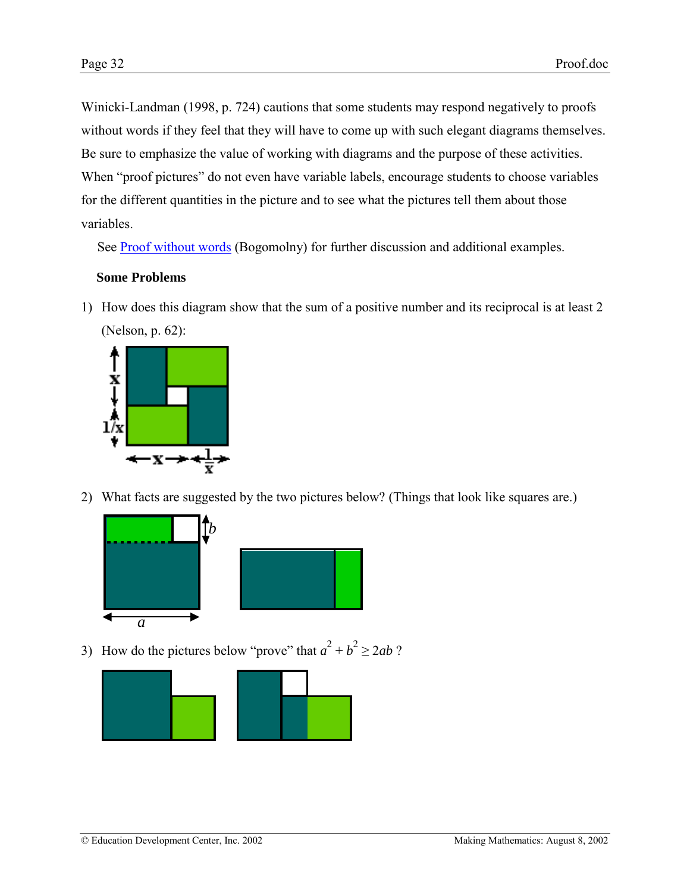Winicki-Landman (1998, p. 724) cautions that some students may respond negatively to proofs without words if they feel that they will have to come up with such elegant diagrams themselves. Be sure to emphasize the value of working with diagrams and the purpose of these activities. When "proof pictures" do not even have variable labels, encourage students to choose variables for the different quantities in the picture and to see what the pictures tell them about those variables.

See [Proof without words](http://www.cut-the-knot.com/ctk/pww.shtml) (Bogomolny) for further discussion and additional examples.

# **Some Problems**

1) How does this diagram show that the sum of a positive number and its reciprocal is at least 2 (Nelson, p. 62):



2) What facts are suggested by the two pictures below? (Things that look like squares are.)



3) How do the pictures below "prove" that  $a^2 + b^2 \ge 2ab$ ?

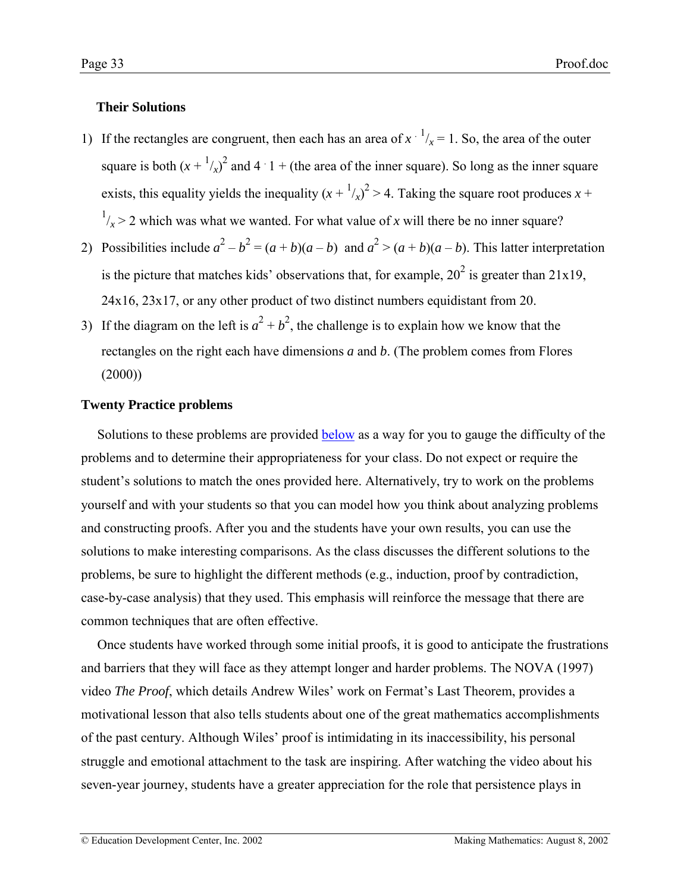# <span id="page-32-0"></span>**Their Solutions**

- 1) If the rectangles are congruent, then each has an area of  $x^{-1}/x = 1$ . So, the area of the outer square is both  $(x + \frac{1}{x})^2$  and  $4 \cdot 1 +$  (the area of the inner square). So long as the inner square exists, this equality yields the inequality  $(x + \frac{1}{x})^2 > 4$ . Taking the square root produces  $x +$  $\frac{1}{x}$  > 2 which was what we wanted. For what value of *x* will there be no inner square?
- 2) Possibilities include  $a^2 b^2 = (a + b)(a b)$  and  $a^2 > (a + b)(a b)$ . This latter interpretation is the picture that matches kids' observations that, for example,  $20^2$  is greater than  $21x19$ , 24x16, 23x17, or any other product of two distinct numbers equidistant from 20.
- 3) If the diagram on the left is  $a^2 + b^2$ , the challenge is to explain how we know that the rectangles on the right each have dimensions *a* and *b*. (The problem comes from Flores  $(2000)$

# **Twenty Practice problems**

Solutions to these problems are provided [below](#page-35-0) as a way for you to gauge the difficulty of the problems and to determine their appropriateness for your class. Do not expect or require the student's solutions to match the ones provided here. Alternatively, try to work on the problems yourself and with your students so that you can model how you think about analyzing problems and constructing proofs. After you and the students have your own results, you can use the solutions to make interesting comparisons. As the class discusses the different solutions to the problems, be sure to highlight the different methods (e.g., induction, proof by contradiction, case-by-case analysis) that they used. This emphasis will reinforce the message that there are common techniques that are often effective.

Once students have worked through some initial proofs, it is good to anticipate the frustrations and barriers that they will face as they attempt longer and harder problems. The NOVA (1997) video *The Proof*, which details Andrew Wiles<sup>'</sup> work on Fermat's Last Theorem, provides a motivational lesson that also tells students about one of the great mathematics accomplishments of the past century. Although Wiles' proof is intimidating in its inaccessibility, his personal struggle and emotional attachment to the task are inspiring. After watching the video about his seven-year journey, students have a greater appreciation for the role that persistence plays in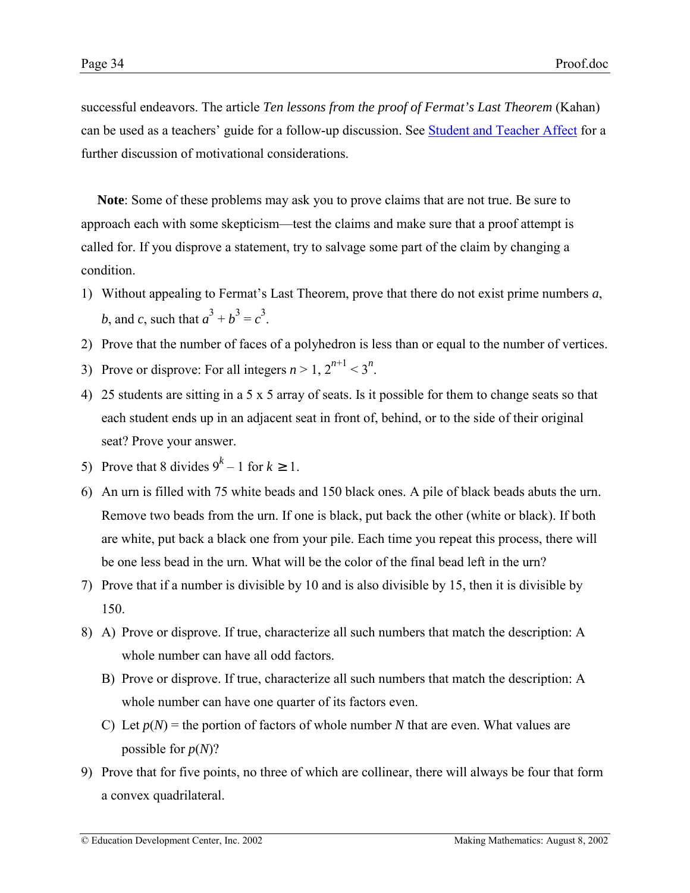successful endeavors. The article *Ten lessons from the proof of Fermat's Last Theorem* (Kahan) can be used as a teachers' guide for a follow-up discussion. See [Student and Teacher Affect](http://www2.edc.org/makingmath/handbook/teacher/StudentAndTeacherAffect/StudentAndTeacherAffect.asp) for a further discussion of motivational considerations.

**Note**: Some of these problems may ask you to prove claims that are not true. Be sure to approach each with some skepticism—test the claims and make sure that a proof attempt is called for. If you disprove a statement, try to salvage some part of the claim by changing a condition.

- 1) Without appealing to Fermatís Last Theorem, prove that there do not exist prime numbers *a*, *b*, and *c*, such that  $a^3 + b^3 = c^3$ .
- 2) Prove that the number of faces of a polyhedron is less than or equal to the number of vertices.
- 3) Prove or disprove: For all integers  $n > 1$ ,  $2^{n+1} < 3^n$ .
- 4) 25 students are sitting in a 5 x 5 array of seats. Is it possible for them to change seats so that each student ends up in an adjacent seat in front of, behind, or to the side of their original seat? Prove your answer.
- 5) Prove that 8 divides  $9^k 1$  for  $k \ge 1$ .
- 6) An urn is filled with 75 white beads and 150 black ones. A pile of black beads abuts the urn. Remove two beads from the urn. If one is black, put back the other (white or black). If both are white, put back a black one from your pile. Each time you repeat this process, there will be one less bead in the urn. What will be the color of the final bead left in the urn?
- 7) Prove that if a number is divisible by 10 and is also divisible by 15, then it is divisible by 150.
- 8) A) Prove or disprove. If true, characterize all such numbers that match the description: A whole number can have all odd factors.
	- B) Prove or disprove. If true, characterize all such numbers that match the description: A whole number can have one quarter of its factors even.
	- C) Let  $p(N)$  = the portion of factors of whole number N that are even. What values are possible for *p*(*N*)?
- 9) Prove that for five points, no three of which are collinear, there will always be four that form a convex quadrilateral.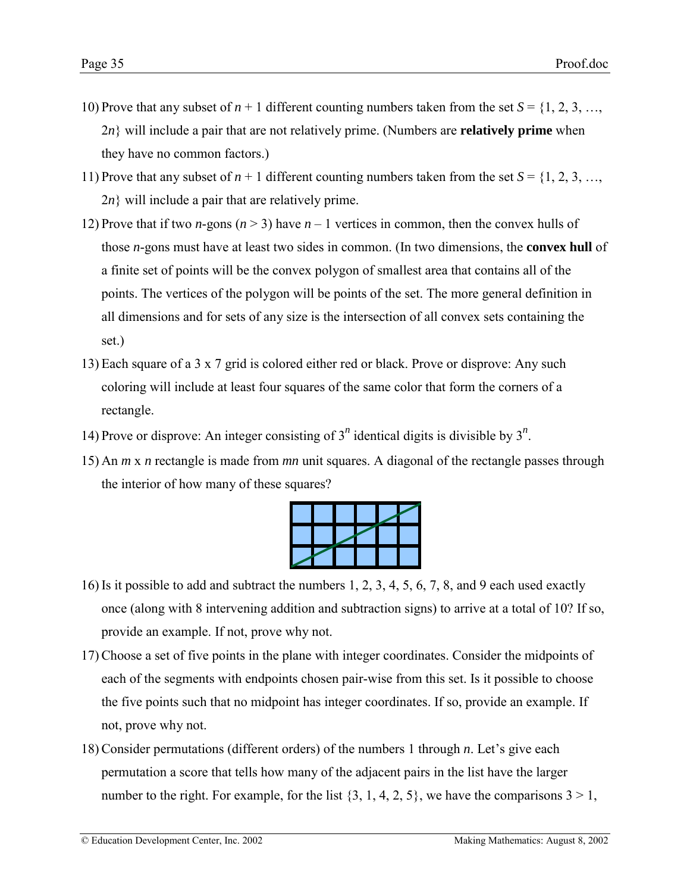- 10) Prove that any subset of  $n + 1$  different counting numbers taken from the set  $S = \{1, 2, 3, \ldots,$ 2*n*} will include a pair that are not relatively prime. (Numbers are **relatively prime** when they have no common factors.)
- 11) Prove that any subset of  $n + 1$  different counting numbers taken from the set  $S = \{1, 2, 3, \ldots,$  $2n$ } will include a pair that are relatively prime.
- 12) Prove that if two *n*-gons ( $n > 3$ ) have  $n 1$  vertices in common, then the convex hulls of those *n*-gons must have at least two sides in common. (In two dimensions, the **convex hull** of a finite set of points will be the convex polygon of smallest area that contains all of the points. The vertices of the polygon will be points of the set. The more general definition in all dimensions and for sets of any size is the intersection of all convex sets containing the set.)
- 13) Each square of a 3 x 7 grid is colored either red or black. Prove or disprove: Any such coloring will include at least four squares of the same color that form the corners of a rectangle.
- 14) Prove or disprove: An integer consisting of  $3^n$  identical digits is divisible by  $3^n$ .
- 15) An *m* x *n* rectangle is made from *mn* unit squares. A diagonal of the rectangle passes through the interior of how many of these squares?

- 16)Is it possible to add and subtract the numbers 1, 2, 3, 4, 5, 6, 7, 8, and 9 each used exactly once (along with 8 intervening addition and subtraction signs) to arrive at a total of 10? If so, provide an example. If not, prove why not.
- 17)Choose a set of five points in the plane with integer coordinates. Consider the midpoints of each of the segments with endpoints chosen pair-wise from this set. Is it possible to choose the five points such that no midpoint has integer coordinates. If so, provide an example. If not, prove why not.
- 18) Consider permutations (different orders) of the numbers 1 through *n*. Let's give each permutation a score that tells how many of the adjacent pairs in the list have the larger number to the right. For example, for the list  $\{3, 1, 4, 2, 5\}$ , we have the comparisons  $3 > 1$ ,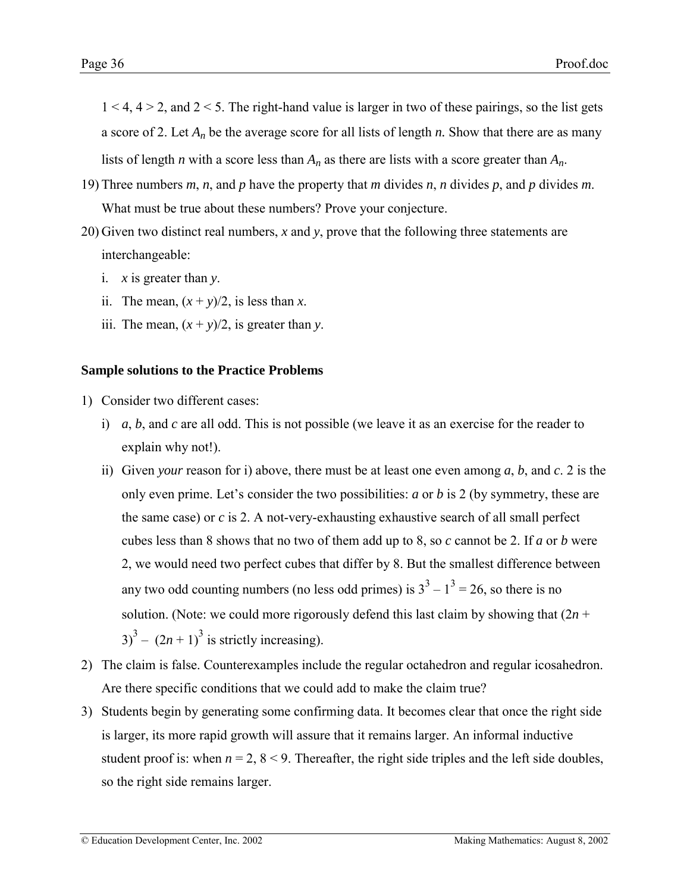<span id="page-35-0"></span> $1 < 4$ ,  $4 > 2$ , and  $2 < 5$ . The right-hand value is larger in two of these pairings, so the list gets a score of 2. Let *An* be the average score for all lists of length *n.* Show that there are as many lists of length *n* with a score less than *An* as there are lists with a score greater than *An*.

- 19) Three numbers *m*, *n*, and *p* have the property that *m* divides *n*, *n* divides *p*, and *p* divides *m*. What must be true about these numbers? Prove your conjecture.
- 20) Given two distinct real numbers, *x* and *y*, prove that the following three statements are interchangeable:
	- i. *x* is greater than *y*.
	- ii. The mean,  $(x + y)/2$ , is less than *x*.
	- iii. The mean,  $(x + y)/2$ , is greater than *y*.

### **Sample solutions to the Practice Problems**

- 1) Consider two different cases:
	- i) *a*, *b*, and *c* are all odd. This is not possible (we leave it as an exercise for the reader to explain why not!).
	- ii) Given *your* reason for i) above, there must be at least one even among *a*, *b*, and *c*. 2 is the only even prime. Let's consider the two possibilities: *a* or *b* is 2 (by symmetry, these are the same case) or *c* is 2. A not-very-exhausting exhaustive search of all small perfect cubes less than 8 shows that no two of them add up to 8, so *c* cannot be 2. If *a* or *b* were 2, we would need two perfect cubes that differ by 8. But the smallest difference between any two odd counting numbers (no less odd primes) is  $3^3 - 1^3 = 26$ , so there is no solution. (Note: we could more rigorously defend this last claim by showing that  $(2n +$  $3^3 - (2n + 1)^3$  is strictly increasing).
- 2) The claim is false. Counterexamples include the regular octahedron and regular icosahedron. Are there specific conditions that we could add to make the claim true?
- 3) Students begin by generating some confirming data. It becomes clear that once the right side is larger, its more rapid growth will assure that it remains larger. An informal inductive student proof is: when  $n = 2$ ,  $8 < 9$ . Thereafter, the right side triples and the left side doubles, so the right side remains larger.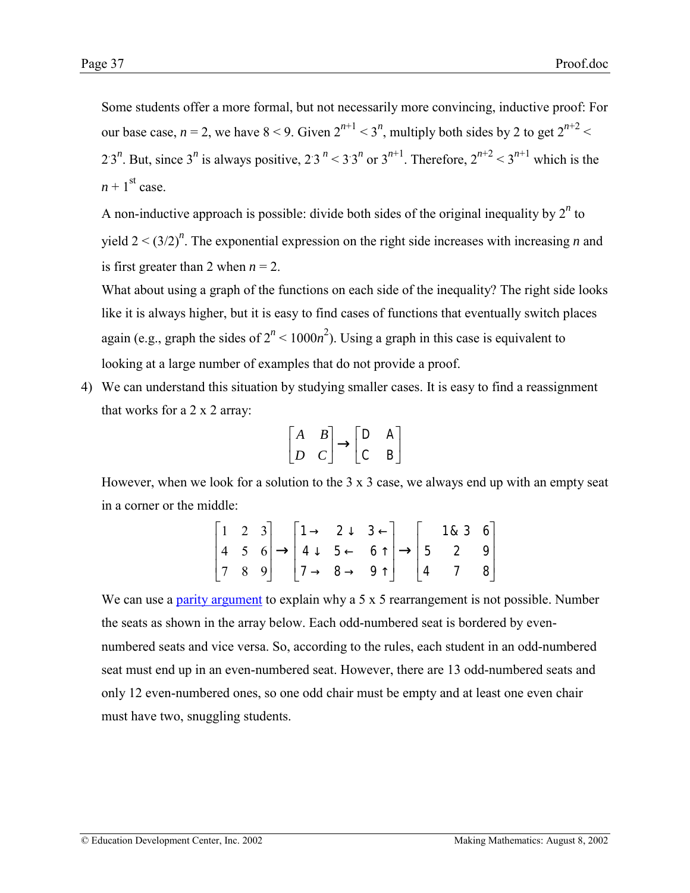Some students offer a more formal, but not necessarily more convincing, inductive proof: For our base case,  $n = 2$ , we have  $8 < 9$ . Given  $2^{n+1} < 3^n$ , multiply both sides by 2 to get  $2^{n+2} <$ 2.3<sup>n</sup>. But, since 3<sup>n</sup> is always positive, 2.3<sup>n</sup> < 3.3<sup>n</sup> or 3<sup>n+1</sup>. Therefore,  $2^{n+2}$  < 3<sup>n+1</sup> which is the  $n + 1$ <sup>st</sup> case.

A non-inductive approach is possible: divide both sides of the original inequality by  $2^n$  to yield  $2 < (3/2)^n$ . The exponential expression on the right side increases with increasing *n* and is first greater than 2 when  $n = 2$ .

What about using a graph of the functions on each side of the inequality? The right side looks like it is always higher, but it is easy to find cases of functions that eventually switch places again (e.g., graph the sides of  $2^n < 1000n^2$ ). Using a graph in this case is equivalent to looking at a large number of examples that do not provide a proof.

4) We can understand this situation by studying smaller cases. It is easy to find a reassignment that works for a 2 x 2 array:

$$
\begin{bmatrix} A & B \\ D & C \end{bmatrix} \rightarrow \begin{bmatrix} D & A \\ C & B \end{bmatrix}
$$

However, when we look for a solution to the  $3 \times 3$  case, we always end up with an empty seat in a corner or the middle:

|  | $\begin{bmatrix} 1 & 2 & 3 \\ 4 & 5 & 6 \\ 7 & 8 & 9 \end{bmatrix} \rightarrow \begin{bmatrix} 1 \rightarrow & 2 \downarrow & 3 \leftarrow \\ 4 \downarrow & 5 \leftarrow & 6 \uparrow \\ 7 \rightarrow & 8 \rightarrow & 9 \uparrow \end{bmatrix} \rightarrow \begin{bmatrix} 1 & 8 & 3 & 6 \\ 5 & 2 & 9 \\ 4 & 7 & 8 \end{bmatrix}$ |  |  |  |  |
|--|---------------------------------------------------------------------------------------------------------------------------------------------------------------------------------------------------------------------------------------------------------------------------------------------------------------------------------------|--|--|--|--|

We can use a [parity argument](http://www2.edc.org/makingmath/mathtools/parity/parity.asp) to explain why a 5 x 5 rearrangement is not possible. Number the seats as shown in the array below. Each odd-numbered seat is bordered by evennumbered seats and vice versa. So, according to the rules, each student in an odd-numbered seat must end up in an even-numbered seat. However, there are 13 odd-numbered seats and only 12 even-numbered ones, so one odd chair must be empty and at least one even chair must have two, snuggling students.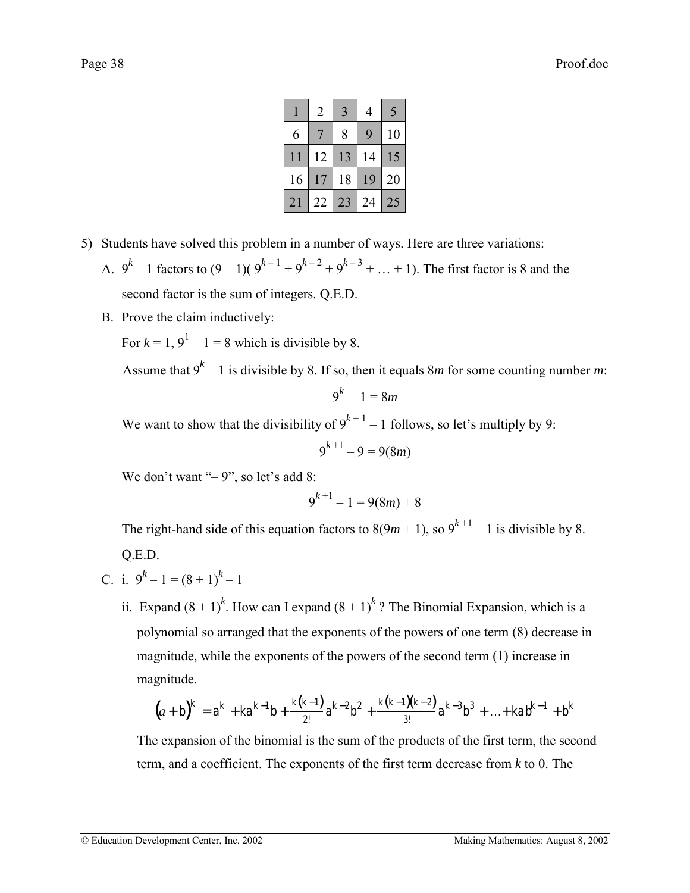|    | $\overline{2}$ | 3  | 4            | $\overline{\mathcal{L}}$ |
|----|----------------|----|--------------|--------------------------|
| 6  |                | 8  | $\mathsf{Q}$ | 10                       |
| 11 | 12             | 13 | 14           | 15                       |
| 16 | 17             | 18 | 19           | 20                       |
| 21 | 22             | 23 | 24           | 25                       |

- <span id="page-37-0"></span>5) Students have solved this problem in a number of ways. Here are three variations:
	- A.  $9^k 1$  factors to  $(9 1)(9^{k-1} + 9^{k-2} + 9^{k-3} + ... + 1)$ . The first factor is 8 and the second factor is the sum of integers. Q.E.D.
	- B. Prove the claim inductively:

For  $k = 1$ ,  $9^1 - 1 = 8$  which is divisible by 8.

Assume that  $9^k - 1$  is divisible by 8. If so, then it equals 8*m* for some counting number *m*:

$$
9^k-1=8m
$$

We want to show that the divisibility of  $9^{k+1} - 1$  follows, so let's multiply by 9:

$$
9^{k+1} - 9 = 9(8m)
$$

We don't want  $-9$ , so let's add 8:

$$
9^{k+1} - 1 = 9(8m) + 8
$$

The right-hand side of this equation factors to  $8(9m + 1)$ , so  $9^{k+1} - 1$  is divisible by 8. Q.E.D.

C. i. 
$$
9^k - 1 = (8 + 1)^k - 1
$$

ii. Expand  $(8 + 1)^k$ . How can I expand  $(8 + 1)^k$ ? The Binomial Expansion, which is a polynomial so arranged that the exponents of the powers of one term (8) decrease in magnitude, while the exponents of the powers of the second term (1) increase in magnitude.

$$
(a+b)^{k} = a^{k} + ka^{k-1}b + \frac{k(k-1)}{2!}a^{k-2}b^{2} + \frac{k(k-1)(k-2)}{3!}a^{k-3}b^{3} + ... + kab^{k-1} + b^{k}
$$

The expansion of the binomial is the sum of the products of the first term, the second term, and a coefficient. The exponents of the first term decrease from *k* to 0. The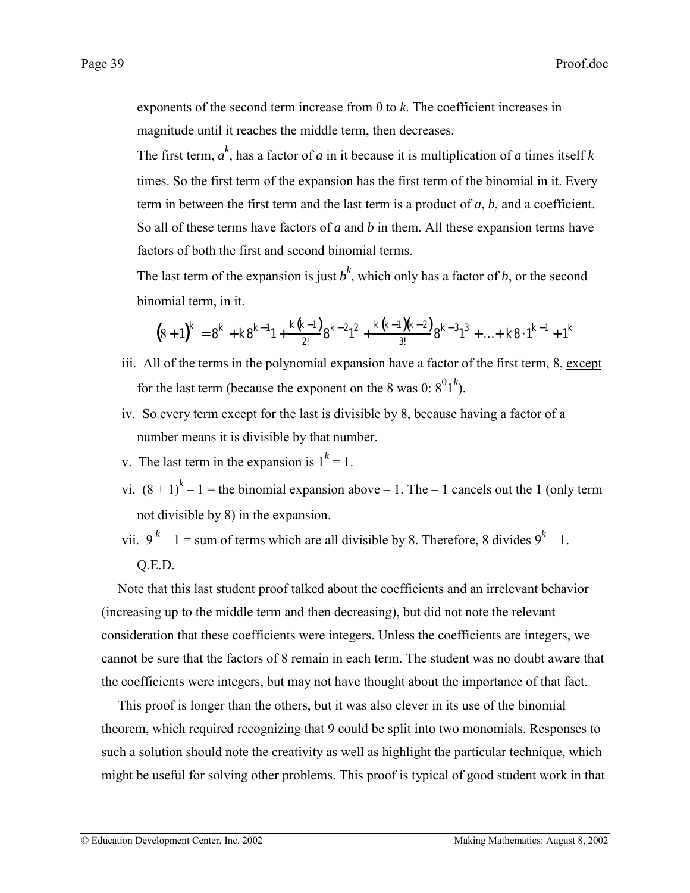exponents of the second term increase from 0 to *k*. The coefficient increases in magnitude until it reaches the middle term, then decreases.

The first term,  $a^k$ , has a factor of *a* in it because it is multiplication of *a* times itself *k* times. So the first term of the expansion has the first term of the binomial in it. Every term in between the first term and the last term is a product of *a*, *b*, and a coefficient. So all of these terms have factors of *a* and *b* in them. All these expansion terms have factors of both the first and second binomial terms.

The last term of the expansion is just  $b^k$ , which only has a factor of *b*, or the second binomial term, in it.

$$
(8+1)^{k} = 8^{k} + k 8^{k-1} 1 + \frac{k(k-1)}{2!} 8^{k-2} 1^{2} + \frac{k(k-1)(k-2)}{3!} 8^{k-3} 1^{3} + \ldots + k 8 \cdot 1^{k-1} + 1^{k}
$$

- iii. All of the terms in the polynomial expansion have a factor of the first term, 8, except for the last term (because the exponent on the 8 was 0:  $8^01^k$ ).
- iv. So every term except for the last is divisible by 8, because having a factor of a number means it is divisible by that number.
- v. The last term in the expansion is  $1^k = 1$ .
- vi.  $(8 + 1)^{k} 1$  = the binomial expansion above 1. The 1 cancels out the 1 (only term not divisible by 8) in the expansion.
- vii.  $9^k 1 =$  sum of terms which are all divisible by 8. Therefore, 8 divides  $9^k 1$ .

# Q.E.D.

Note that this last student proof talked about the coefficients and an irrelevant behavior (increasing up to the middle term and then decreasing), but did not note the relevant consideration that these coefficients were integers. Unless the coefficients are integers, we cannot be sure that the factors of 8 remain in each term. The student was no doubt aware that the coefficients were integers, but may not have thought about the importance of that fact.

This proof is longer than the others, but it was also clever in its use of the binomial theorem, which required recognizing that 9 could be split into two monomials. Responses to such a solution should note the creativity as well as highlight the particular technique, which might be useful for solving other problems. This proof is typical of good student work in that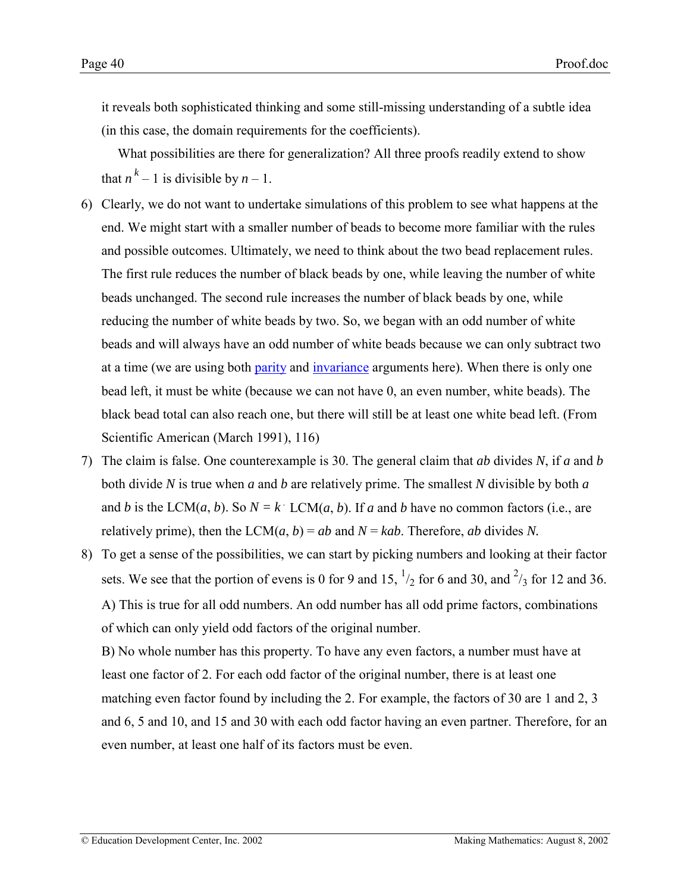it reveals both sophisticated thinking and some still-missing understanding of a subtle idea (in this case, the domain requirements for the coefficients).

What possibilities are there for generalization? All three proofs readily extend to show that  $n^k - 1$  is divisible by  $n - 1$ .

- 6) Clearly, we do not want to undertake simulations of this problem to see what happens at the end. We might start with a smaller number of beads to become more familiar with the rules and possible outcomes. Ultimately, we need to think about the two bead replacement rules. The first rule reduces the number of black beads by one, while leaving the number of white beads unchanged. The second rule increases the number of black beads by one, while reducing the number of white beads by two. So, we began with an odd number of white beads and will always have an odd number of white beads because we can only subtract two at a time (we are using both [parity](http://www2.edc.org/makingmath/mathtools/parity/parity.asp) and [invariance](http://www2.edc.org/makingmath/handbook/teacher/Conjectures/Conjectures.asp#Invariants) arguments here). When there is only one bead left, it must be white (because we can not have 0, an even number, white beads). The black bead total can also reach one, but there will still be at least one white bead left. (From Scientific American (March 1991), 116)
- 7) The claim is false. One counterexample is 30. The general claim that *ab* divides *N*, if *a* and *b* both divide *N* is true when *a* and *b* are relatively prime. The smallest *N* divisible by both *a* and *b* is the LCM(*a*, *b*). So  $N = k$  LCM(*a*, *b*). If *a* and *b* have no common factors (i.e., are relatively prime), then the LCM $(a, b) = ab$  and  $N = kab$ . Therefore, *ab* divides *N*.
- 8) To get a sense of the possibilities, we can start by picking numbers and looking at their factor sets. We see that the portion of evens is 0 for 9 and 15,  $\frac{1}{2}$  for 6 and 30, and  $\frac{2}{3}$  for 12 and 36. A) This is true for all odd numbers. An odd number has all odd prime factors, combinations of which can only yield odd factors of the original number.

B) No whole number has this property. To have any even factors, a number must have at least one factor of 2. For each odd factor of the original number, there is at least one matching even factor found by including the 2. For example, the factors of 30 are 1 and 2, 3 and 6, 5 and 10, and 15 and 30 with each odd factor having an even partner. Therefore, for an even number, at least one half of its factors must be even.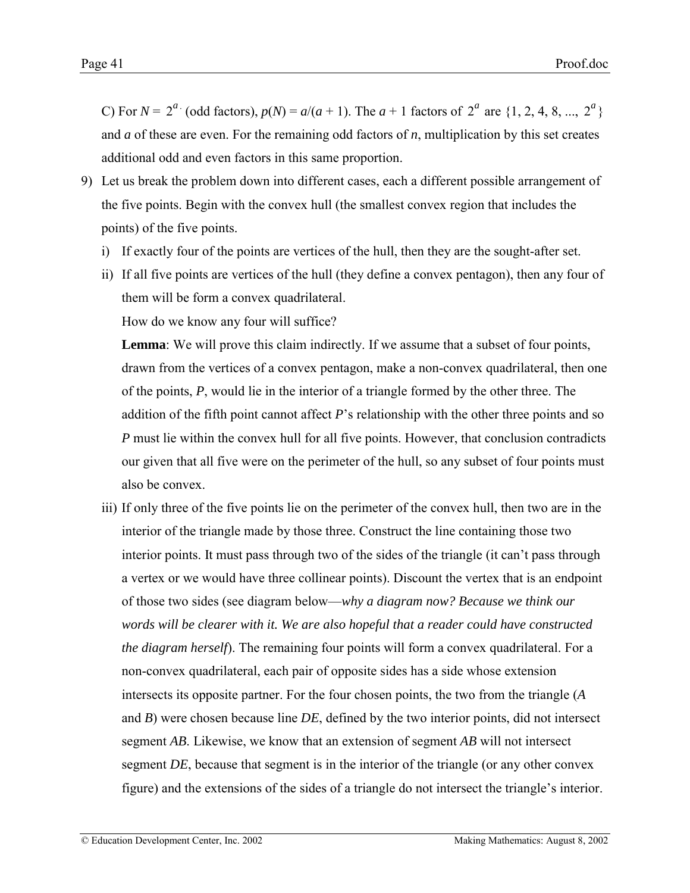C) For  $N = 2^a$  (odd factors),  $p(N) = a/(a + 1)$ . The  $a + 1$  factors of  $2^a$  are  $\{1, 2, 4, 8, ..., 2^a\}$ and *a* of these are even. For the remaining odd factors of *n*, multiplication by this set creates additional odd and even factors in this same proportion.

- 9) Let us break the problem down into different cases, each a different possible arrangement of the five points. Begin with the convex hull (the smallest convex region that includes the points) of the five points.
	- i) If exactly four of the points are vertices of the hull, then they are the sought-after set.
	- ii) If all five points are vertices of the hull (they define a convex pentagon), then any four of them will be form a convex quadrilateral.

How do we know any four will suffice?

**Lemma**: We will prove this claim indirectly. If we assume that a subset of four points, drawn from the vertices of a convex pentagon, make a non-convex quadrilateral, then one of the points, *P*, would lie in the interior of a triangle formed by the other three. The addition of the fifth point cannot affect *P*'s relationship with the other three points and so *P* must lie within the convex hull for all five points. However, that conclusion contradicts our given that all five were on the perimeter of the hull, so any subset of four points must also be convex.

iii) If only three of the five points lie on the perimeter of the convex hull, then two are in the interior of the triangle made by those three. Construct the line containing those two interior points. It must pass through two of the sides of the triangle (it can't pass through a vertex or we would have three collinear points). Discount the vertex that is an endpoint of those two sides (see diagram below—why a diagram now? Because we think our *words will be clearer with it. We are also hopeful that a reader could have constructed the diagram herself*). The remaining four points will form a convex quadrilateral. For a non-convex quadrilateral, each pair of opposite sides has a side whose extension intersects its opposite partner. For the four chosen points, the two from the triangle (*A* and *B*) were chosen because line *DE*, defined by the two interior points, did not intersect segment *AB*. Likewise, we know that an extension of segment *AB* will not intersect segment *DE*, because that segment is in the interior of the triangle (or any other convex figure) and the extensions of the sides of a triangle do not intersect the triangle's interior.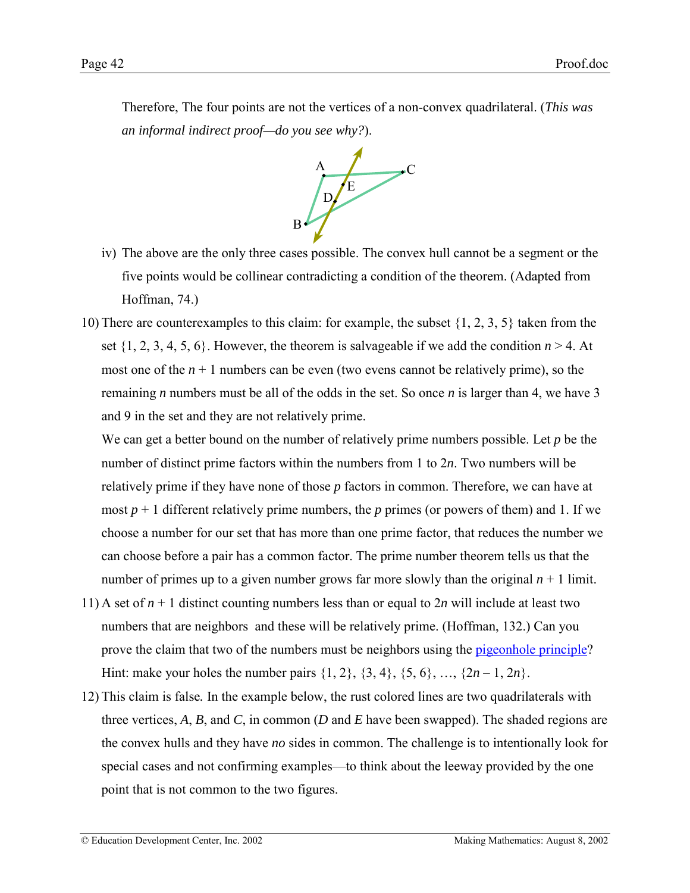Therefore, The four points are not the vertices of a non-convex quadrilateral. (*This was an informal indirect proof—do you see why?*).



- iv) The above are the only three cases possible. The convex hull cannot be a segment or the five points would be collinear contradicting a condition of the theorem. (Adapted from Hoffman, 74.)
- 10) There are counterexamples to this claim: for example, the subset {1, 2, 3, 5} taken from the set  $\{1, 2, 3, 4, 5, 6\}$ . However, the theorem is salvageable if we add the condition  $n > 4$ . At most one of the  $n + 1$  numbers can be even (two evens cannot be relatively prime), so the remaining *n* numbers must be all of the odds in the set. So once *n* is larger than 4, we have 3 and 9 in the set and they are not relatively prime.

We can get a better bound on the number of relatively prime numbers possible. Let *p* be the number of distinct prime factors within the numbers from 1 to 2*n*. Two numbers will be relatively prime if they have none of those *p* factors in common. Therefore, we can have at most  $p + 1$  different relatively prime numbers, the  $p$  primes (or powers of them) and 1. If we choose a number for our set that has more than one prime factor, that reduces the number we can choose before a pair has a common factor. The prime number theorem tells us that the number of primes up to a given number grows far more slowly than the original  $n + 1$  limit.

- 11) A set of  $n + 1$  distinct counting numbers less than or equal to  $2n$  will include at least two numbers that are neighbors and these will be relatively prime. (Hoffman, 132.) Can you prove the claim that two of the numbers must be neighbors using the [pigeonhole principle?](http://www2.edc.org/makingmath/mathtools/pigeonhole/pigeonhole.asp) Hint: make your holes the number pairs  $\{1, 2\}, \{3, 4\}, \{5, 6\}, \ldots, \{2n - 1, 2n\}.$
- 12) This claim is false*.* In the example below, the rust colored lines are two quadrilaterals with three vertices, *A*, *B*, and *C*, in common (*D* and *E* have been swapped). The shaded regions are the convex hulls and they have *no* sides in common. The challenge is to intentionally look for special cases and not confirming examples—to think about the leeway provided by the one point that is not common to the two figures.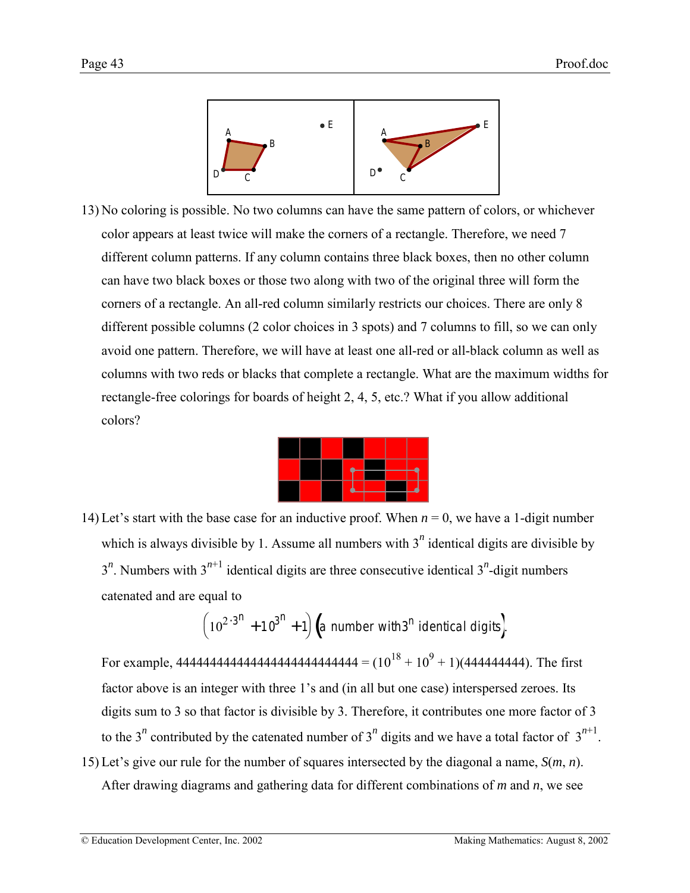

13) No coloring is possible. No two columns can have the same pattern of colors, or whichever color appears at least twice will make the corners of a rectangle. Therefore, we need 7 different column patterns. If any column contains three black boxes, then no other column can have two black boxes or those two along with two of the original three will form the corners of a rectangle. An all-red column similarly restricts our choices. There are only 8 different possible columns (2 color choices in 3 spots) and 7 columns to fill, so we can only avoid one pattern. Therefore, we will have at least one all-red or all-black column as well as columns with two reds or blacks that complete a rectangle. What are the maximum widths for rectangle-free colorings for boards of height 2, 4, 5, etc.? What if you allow additional colors?



14) Let's start with the base case for an inductive proof. When  $n = 0$ , we have a 1-digit number which is always divisible by 1. Assume all numbers with  $3<sup>n</sup>$  identical digits are divisible by  $3^n$ . Numbers with  $3^{n+1}$  identical digits are three consecutive identical  $3^n$ -digit numbers catenated and are equal to

$$
(10^{2\cdot 3^n} + 10^{3^n} + 1) (a number with 3^n identical digits).
$$

For example, 444444444444444444444444444 = (1018 + 109 + 1)(444444444). The first factor above is an integer with three 1's and (in all but one case) interspersed zeroes. Its digits sum to 3 so that factor is divisible by 3. Therefore, it contributes one more factor of 3 to the 3<sup>*n*</sup> contributed by the catenated number of 3<sup>*n*</sup> digits and we have a total factor of  $3^{n+1}$ .

15) Let's give our rule for the number of squares intersected by the diagonal a name,  $S(m, n)$ . After drawing diagrams and gathering data for different combinations of *m* and *n*, we see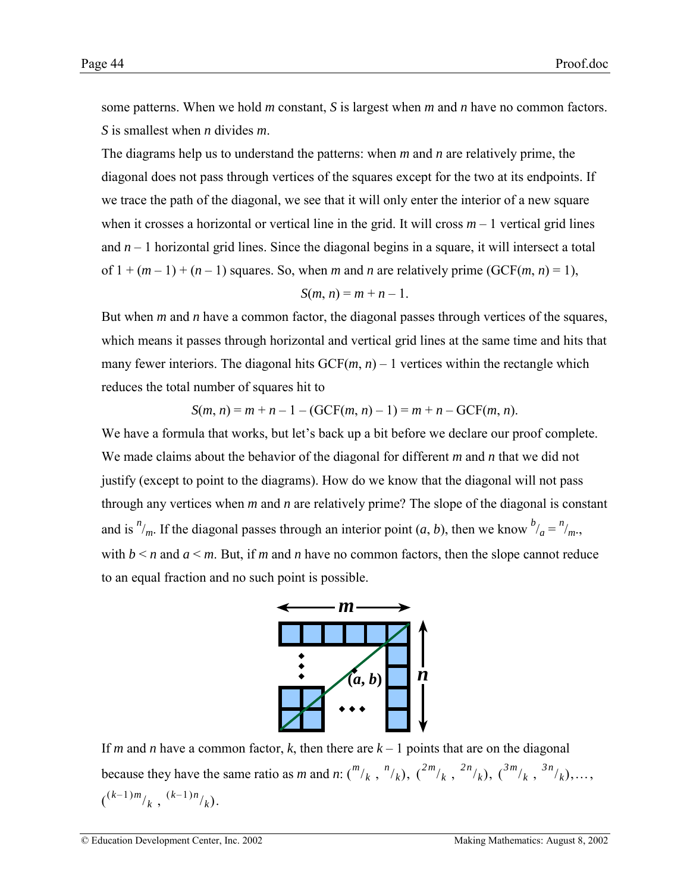some patterns. When we hold *m* constant, *S* is largest when *m* and *n* have no common factors. *S* is smallest when *n* divides *m*.

The diagrams help us to understand the patterns: when *m* and *n* are relatively prime, the diagonal does not pass through vertices of the squares except for the two at its endpoints. If we trace the path of the diagonal, we see that it will only enter the interior of a new square when it crosses a horizontal or vertical line in the grid. It will cross  $m - 1$  vertical grid lines and  $n-1$  horizontal grid lines. Since the diagonal begins in a square, it will intersect a total of  $1 + (m - 1) + (n - 1)$  squares. So, when *m* and *n* are relatively prime (GCF(*m*, *n*) = 1),

$$
S(m, n) = m + n - 1.
$$

But when *m* and *n* have a common factor, the diagonal passes through vertices of the squares, which means it passes through horizontal and vertical grid lines at the same time and hits that many fewer interiors. The diagonal hits  $GCF(m, n) - 1$  vertices within the rectangle which reduces the total number of squares hit to

$$
S(m, n) = m + n - 1 - (GCF(m, n) - 1) = m + n - GCF(m, n).
$$

We have a formula that works, but let's back up a bit before we declare our proof complete. We made claims about the behavior of the diagonal for different *m* and *n* that we did not justify (except to point to the diagrams). How do we know that the diagonal will not pass through any vertices when *m* and *n* are relatively prime? The slope of the diagonal is constant and is  $n/m$ . If the diagonal passes through an interior point  $(a, b)$ , then we know  $b/a = n/m$ . with  $b \le n$  and  $a \le m$ . But, if *m* and *n* have no common factors, then the slope cannot reduce to an equal fraction and no such point is possible.



If *m* and *n* have a common factor, *k*, then there are  $k - 1$  points that are on the diagonal because they have the same ratio as *m* and *n*:  $\binom{m}{k}$ ,  $\binom{n}{k}$ ,  $\binom{2m}{k}$ ,  $\binom{3m}{k}$ ,  $\binom{3m}{k}$ ,  $\binom{3n}{k}$ , ...,  $\binom{(k-1)m}{k}, \binom{(k-1)n}{k}.$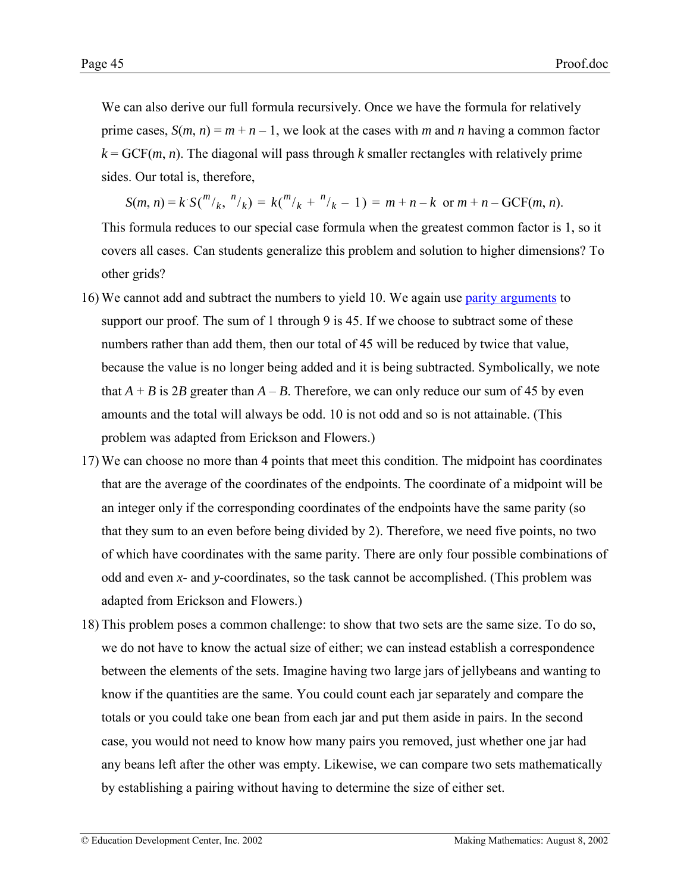We can also derive our full formula recursively. Once we have the formula for relatively prime cases,  $S(m, n) = m + n - 1$ , we look at the cases with *m* and *n* having a common factor  $k = GCF(m, n)$ . The diagonal will pass through *k* smaller rectangles with relatively prime sides. Our total is, therefore,

 $S(m, n) = k S\binom{m}{k}, \binom{n}{k} = k \binom{m}{k} + \binom{n}{k} - 1 = m + n - k \text{ or } m + n - GCF(m, n).$ This formula reduces to our special case formula when the greatest common factor is 1, so it covers all cases. Can students generalize this problem and solution to higher dimensions? To other grids?

- 16) We cannot add and subtract the numbers to yield 10. We again use [parity arguments](http://www2.edc.org/makingmath/mathtools/parity/parity.asp) to support our proof. The sum of 1 through 9 is 45. If we choose to subtract some of these numbers rather than add them, then our total of 45 will be reduced by twice that value, because the value is no longer being added and it is being subtracted. Symbolically, we note that  $A + B$  is 2*B* greater than  $A - B$ . Therefore, we can only reduce our sum of 45 by even amounts and the total will always be odd. 10 is not odd and so is not attainable. (This problem was adapted from Erickson and Flowers.)
- 17) We can choose no more than 4 points that meet this condition. The midpoint has coordinates that are the average of the coordinates of the endpoints. The coordinate of a midpoint will be an integer only if the corresponding coordinates of the endpoints have the same parity (so that they sum to an even before being divided by 2). Therefore, we need five points, no two of which have coordinates with the same parity. There are only four possible combinations of odd and even *x*- and *y*-coordinates, so the task cannot be accomplished. (This problem was adapted from Erickson and Flowers.)
- 18) This problem poses a common challenge: to show that two sets are the same size. To do so, we do not have to know the actual size of either; we can instead establish a correspondence between the elements of the sets. Imagine having two large jars of jellybeans and wanting to know if the quantities are the same. You could count each jar separately and compare the totals or you could take one bean from each jar and put them aside in pairs. In the second case, you would not need to know how many pairs you removed, just whether one jar had any beans left after the other was empty. Likewise, we can compare two sets mathematically by establishing a pairing without having to determine the size of either set.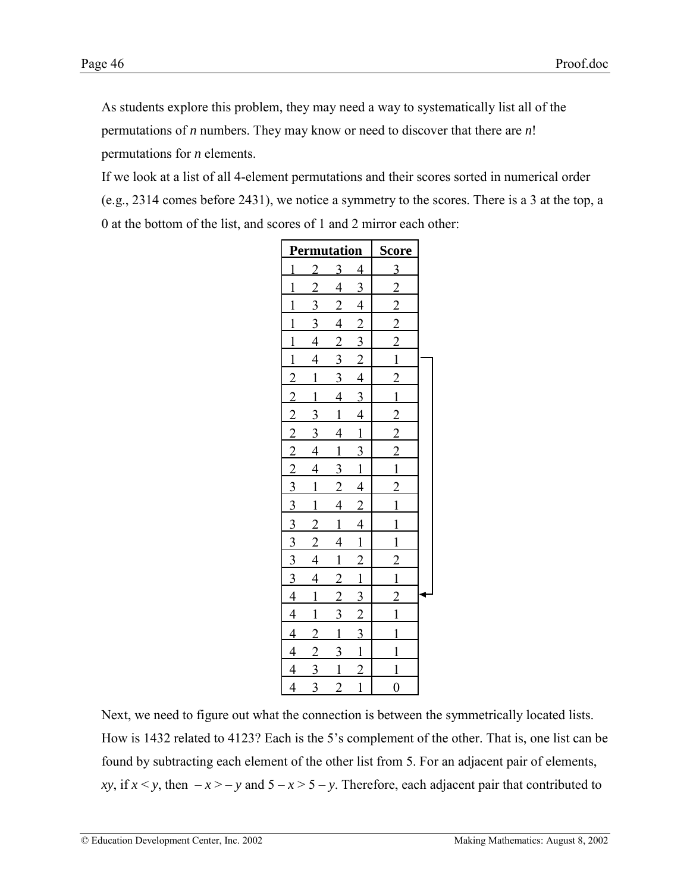As students explore this problem, they may need a way to systematically list all of the permutations of *n* numbers. They may know or need to discover that there are *n*! permutations for *n* elements.

If we look at a list of all 4-element permutations and their scores sorted in numerical order (e.g., 2314 comes before 2431), we notice a symmetry to the scores. There is a 3 at the top, a 0 at the bottom of the list, and scores of 1 and 2 mirror each other:

|                                                                                     | <b>Permutation</b> | <b>Score</b>   |                                                                       |                                                 |  |
|-------------------------------------------------------------------------------------|--------------------|----------------|-----------------------------------------------------------------------|-------------------------------------------------|--|
| $\overline{1}$                                                                      | $\overline{2}$     | <u>3</u>       | $\overline{4}$                                                        | $\overline{3}$                                  |  |
| $\mathbf{1}$                                                                        | $\frac{1}{2}$      | $\overline{4}$ | $\overline{3}$                                                        | $\frac{2}{2}$                                   |  |
| $\overline{1}$                                                                      | $\overline{3}$     | $\overline{2}$ |                                                                       |                                                 |  |
| $\overline{1}$                                                                      | $\overline{3}$     | $\overline{4}$ | $\frac{4}{2}$                                                         |                                                 |  |
| $\overline{1}$                                                                      | $\overline{4}$     |                | $\frac{3}{2}$ $\frac{4}{3}$                                           |                                                 |  |
| $\frac{1}{2}$ $\frac{2}{2}$ $\frac{2}{2}$ $\frac{2}{2}$ $\frac{3}{3}$               | $\overline{4}$     | $\frac{2}{3}$  |                                                                       | $\frac{2}{1}$ $\frac{2}{1}$                     |  |
|                                                                                     | $\overline{1}$     | $\frac{3}{2}$  |                                                                       |                                                 |  |
|                                                                                     | $\overline{1}$     | $\overline{4}$ |                                                                       |                                                 |  |
|                                                                                     | $\frac{3}{2}$      | $\overline{1}$ | $\overline{4}$                                                        | $\frac{1}{2}$ 2 $\frac{2}{1}$ 1 $\frac{2}{1}$ 1 |  |
|                                                                                     | $\overline{3}$     | $\overline{4}$ | $\overline{1}$                                                        |                                                 |  |
|                                                                                     |                    |                | $\frac{3}{1}$ $\frac{4}{2}$                                           |                                                 |  |
|                                                                                     | $\frac{4}{4}$      | $\frac{1}{3}$  |                                                                       |                                                 |  |
|                                                                                     | $\overline{1}$     | $\overline{2}$ |                                                                       |                                                 |  |
|                                                                                     | $\overline{1}$     | $\frac{1}{4}$  |                                                                       |                                                 |  |
|                                                                                     |                    |                |                                                                       | $\overline{1}$                                  |  |
|                                                                                     | $\frac{2}{2}$      | $\frac{1}{4}$  |                                                                       |                                                 |  |
|                                                                                     |                    |                |                                                                       |                                                 |  |
|                                                                                     | $\frac{4}{4}$      | $\frac{1}{2}$  |                                                                       |                                                 |  |
|                                                                                     | $\overline{1}$     |                |                                                                       |                                                 |  |
|                                                                                     | $\overline{1}$     | $\frac{2}{3}$  |                                                                       | $\frac{1}{2}$ $\frac{1}{2}$ $\frac{1}{1}$       |  |
|                                                                                     | $\overline{2}$     | $\overline{1}$ | $\frac{4}{1}$ $\frac{1}{2}$ $\frac{1}{3}$ $\frac{3}{2}$ $\frac{2}{3}$ |                                                 |  |
|                                                                                     | $\overline{2}$     | $\overline{3}$ |                                                                       | $\overline{1}$                                  |  |
| $\frac{3}{3}$ $\frac{3}{3}$ $\frac{3}{4}$ $\frac{4}{4}$ $\frac{4}{4}$ $\frac{4}{4}$ | $\overline{3}$     | $\overline{1}$ | $\frac{1}{2}$                                                         | $\overline{1}$                                  |  |
|                                                                                     | $\overline{3}$     | $\overline{2}$ |                                                                       | $\frac{0}{0}$                                   |  |

Next, we need to figure out what the connection is between the symmetrically located lists. How is 1432 related to 4123? Each is the 5's complement of the other. That is, one list can be found by subtracting each element of the other list from 5. For an adjacent pair of elements, *xy*, if  $x \le y$ , then  $-x \ge -y$  and  $5 - x \ge 5 - y$ . Therefore, each adjacent pair that contributed to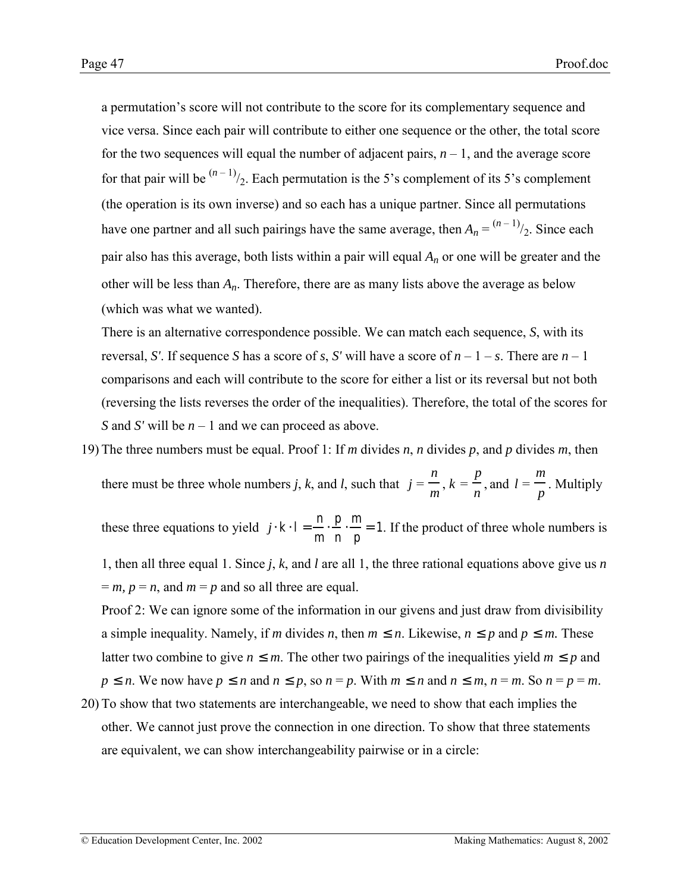a permutation's score will not contribute to the score for its complementary sequence and vice versa. Since each pair will contribute to either one sequence or the other, the total score for the two sequences will equal the number of adjacent pairs,  $n - 1$ , and the average score for that pair will be  $\binom{n-1}{2}$ . Each permutation is the 5's complement of its 5's complement (the operation is its own inverse) and so each has a unique partner. Since all permutations have one partner and all such pairings have the same average, then  $A_n = \frac{(n-1)}{2}$ . Since each pair also has this average, both lists within a pair will equal *An* or one will be greater and the other will be less than *An*. Therefore, there are as many lists above the average as below (which was what we wanted).

There is an alternative correspondence possible. We can match each sequence, *S*, with its reversal, *S'*. If sequence *S* has a score of *s*, *S'* will have a score of  $n - 1 - s$ . There are  $n - 1$ comparisons and each will contribute to the score for either a list or its reversal but not both (reversing the lists reverses the order of the inequalities). Therefore, the total of the scores for *S* and *S'* will be  $n - 1$  and we can proceed as above.

19) The three numbers must be equal. Proof 1: If *m* divides *n*, *n* divides *p*, and *p* divides *m*, then there must be three whole numbers *j*, *k*, and *l*, such that  $j = \frac{n}{m}$ ,  $k = \frac{p}{n}$ , and  $l = \frac{m}{l}$ *p* . Multiply

these three equations to yield  $j \cdot k \cdot l = -\frac{n}{m} \cdot \frac{p}{n} \cdot \frac{m}{p} = 1$ . If the product of three whole numbers is

1, then all three equal 1. Since *j*, *k*, and *l* are all 1, the three rational equations above give us *n*  $= m, p = n$ , and  $m = p$  and so all three are equal.

Proof 2: We can ignore some of the information in our givens and just draw from divisibility a simple inequality. Namely, if *m* divides *n*, then  $m \le n$ . Likewise,  $n \le p$  and  $p \le m$ . These latter two combine to give  $n \leq m$ . The other two pairings of the inequalities yield  $m \leq p$  and  $p \le n$ . We now have  $p \le n$  and  $n \le p$ , so  $n = p$ . With  $m \le n$  and  $n \le m$ ,  $n = m$ . So  $n = p = m$ .

20) To show that two statements are interchangeable, we need to show that each implies the other. We cannot just prove the connection in one direction. To show that three statements are equivalent, we can show interchangeability pairwise or in a circle: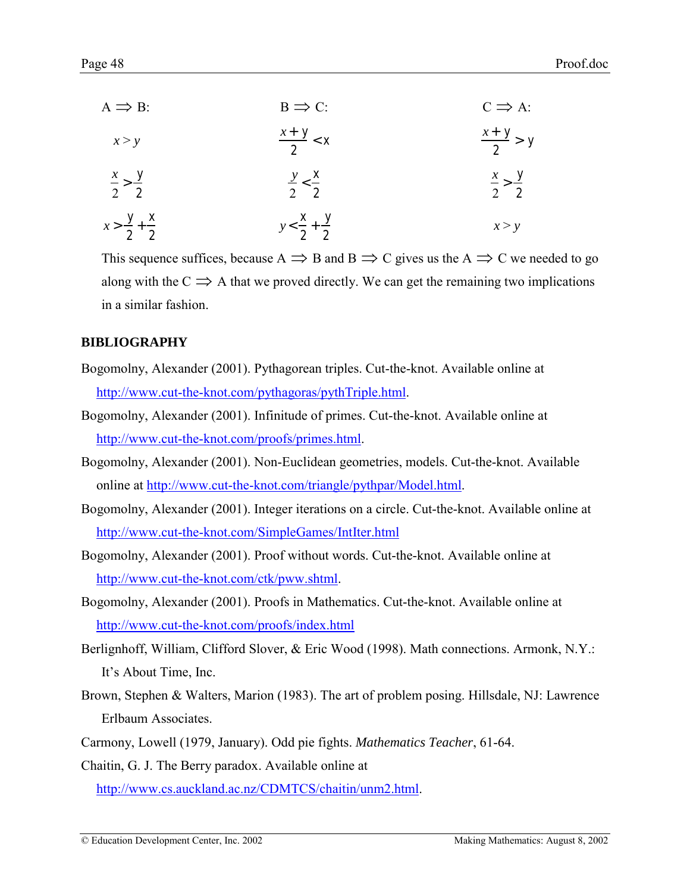<span id="page-47-0"></span>

| $A \implies B$ :                | $B \implies C$ :                | $C \implies A$ :            |
|---------------------------------|---------------------------------|-----------------------------|
| x > y                           | $\frac{x+y}{2} < x$             | $\frac{x+y}{2}$ > y         |
| $\frac{x}{2} > \frac{y}{2}$     | $\frac{y}{2} < \frac{x}{2}$     | $\frac{x}{2} > \frac{y}{2}$ |
| $x > \frac{y}{2} + \frac{x}{2}$ | $y < \frac{x}{2} + \frac{y}{2}$ | x > y                       |

This sequence suffices, because  $A \implies B$  and  $B \implies C$  gives us the  $A \implies C$  we needed to go along with the  $C \implies A$  that we proved directly. We can get the remaining two implications in a similar fashion.

# **BIBLIOGRAPHY**

- Bogomolny, Alexander (2001). Pythagorean triples. Cut-the-knot. Available online at [http://www.cut-the-knot.com/pythagoras/pythTriple.html.](http://www.cut-the-knot.com/pythagoras/pythTriple.html)
- Bogomolny, Alexander (2001). Infinitude of primes. Cut-the-knot. Available online at [http://www.cut-the-knot.com/proofs/primes.html.](http://www.cut-the-knot.com/proofs/primes.html)
- Bogomolny, Alexander (2001). Non-Euclidean geometries, models. Cut-the-knot. Available online at [http://www.cut-the-knot.com/triangle/pythpar/Model.html.](http://www.cut-the-knot.com/triangle/pythpar/Model.html)
- Bogomolny, Alexander (2001). Integer iterations on a circle. Cut-the-knot. Available online at <http://www.cut-the-knot.com/SimpleGames/IntIter.html>
- Bogomolny, Alexander (2001). Proof without words. Cut-the-knot. Available online at [http://www.cut-the-knot.com/ctk/pww.shtml.](http://www.cut-the-knot.com/ctk/pww.shtml)
- Bogomolny, Alexander (2001). Proofs in Mathematics. Cut-the-knot. Available online at <http://www.cut-the-knot.com/proofs/index.html>
- Berlignhoff, William, Clifford Slover, & Eric Wood (1998). Math connections. Armonk, N.Y.: It's About Time, Inc.
- Brown, Stephen & Walters, Marion (1983). The art of problem posing. Hillsdale, NJ: Lawrence Erlbaum Associates.
- Carmony, Lowell (1979, January). Odd pie fights. *Mathematics Teacher*, 61-64.

Chaitin, G. J. The Berry paradox. Available online at

[http://www.cs.auckland.ac.nz/CDMTCS/chaitin/unm2.html.](http://www.cs.auckland.ac.nz/CDMTCS/chaitin/unm2.html)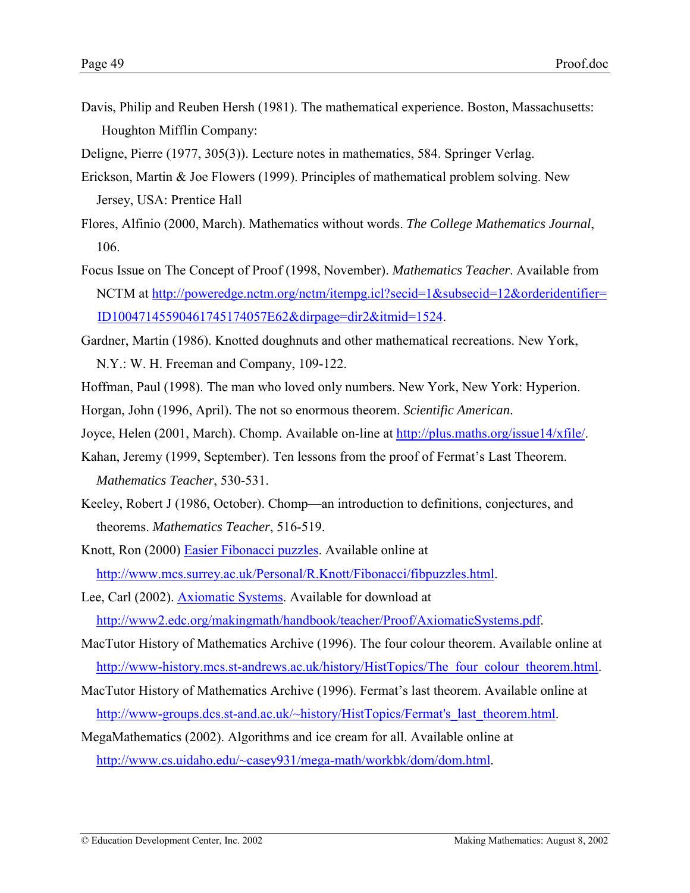Davis, Philip and Reuben Hersh (1981). The mathematical experience. Boston, Massachusetts: Houghton Mifflin Company:

Deligne, Pierre (1977, 305(3)). Lecture notes in mathematics, 584. Springer Verlag.

- Erickson, Martin & Joe Flowers (1999). Principles of mathematical problem solving. New Jersey, USA: Prentice Hall
- Flores, Alfinio (2000, March). Mathematics without words. *The College Mathematics Journal*, 106.
- Focus Issue on The Concept of Proof (1998, November). *Mathematics Teacher*. Available from NCTM at [http://poweredge.nctm.org/nctm/itempg.icl?secid=1&subsecid=12&orderidentifier=](http://poweredge.nctm.org/nctm/itempg.icl?secid=1&subsecid=12&orderidentifier=ID10047145590461745174057E62&dirpage=dir2&itmid=1524) [ID10047145590461745174057E62&dirpage=dir2&itmid=1524.](http://poweredge.nctm.org/nctm/itempg.icl?secid=1&subsecid=12&orderidentifier=ID10047145590461745174057E62&dirpage=dir2&itmid=1524)
- Gardner, Martin (1986). Knotted doughnuts and other mathematical recreations. New York, N.Y.: W. H. Freeman and Company, 109-122.
- Hoffman, Paul (1998). The man who loved only numbers. New York, New York: Hyperion.
- Horgan, John (1996, April). The not so enormous theorem. *Scientific American*.
- Joyce, Helen (2001, March). Chomp. Available on-line at [http://plus.maths.org/issue14/xfile/.](http://plus.maths.org/issue14/xfile/)
- Kahan, Jeremy (1999, September). Ten lessons from the proof of Fermat's Last Theorem. *Mathematics Teacher*, 530-531.
- Keeley, Robert J (1986, October). Chomp—an introduction to definitions, conjectures, and theorems. *Mathematics Teacher*, 516-519.
- Knott, Ron (2000) [Easier Fibonacci puzzles.](http://www.mcs.surrey.ac.uk/Personal/R.Knott/Fibonacci/fibpuzzles.html) Available online at [http://www.mcs.surrey.ac.uk/Personal/R.Knott/Fibonacci/fibpuzzles.html.](http://www.mcs.surrey.ac.uk/Personal/R.Knott/Fibonacci/fibpuzzles.html)
- Lee, Carl (2002). [Axiomatic Systems.](#page-0-0) Available for download at [http://www2.edc.org/makingmath/handbook/teacher/Proof/AxiomaticSystems.pdf.](http://www2.edc.org/makingmath/handbook/teacher/Proof/AxiomaticSystems.pdf)
- MacTutor History of Mathematics Archive (1996). The four colour theorem. Available online at [http://www-history.mcs.st-andrews.ac.uk/history/HistTopics/The\\_four\\_colour\\_theorem.html.](http://www-history.mcs.st-andrews.ac.uk/history/HistTopics/The_four_colour_theorem.html)
- MacTutor History of Mathematics Archive (1996). Fermat's last theorem. Available online at http://www-groups.dcs.st-and.ac.uk/~history/HistTopics/Fermat's last theorem.html.
- MegaMathematics (2002). Algorithms and ice cream for all. Available online at [http://www.cs.uidaho.edu/~casey931/mega-math/workbk/dom/dom.html.](http://www.cs.uidaho.edu/~casey931/mega-math/workbk/dom/dom.html)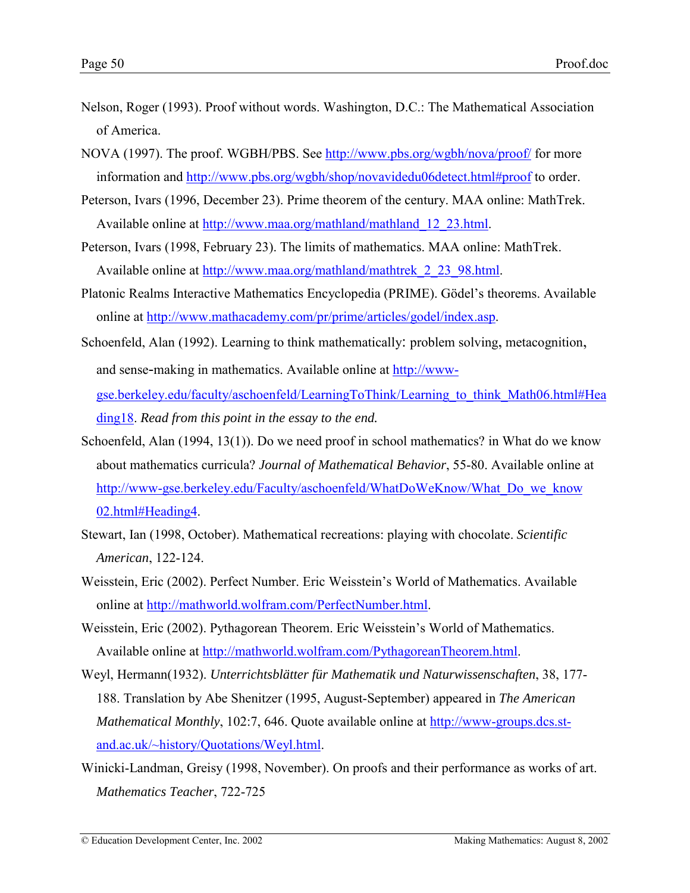- <span id="page-49-0"></span>Nelson, Roger (1993). Proof without words. Washington, D.C.: The Mathematical Association of America.
- NOVA (1997). The proof. WGBH/PBS. See <http://www.pbs.org/wgbh/nova/proof/>for more information and [http://www.pbs.org/wgbh/shop/novavidedu06detect.html#proof](http://www.pbs.org/wgbh/shop/novavidedu06detect.html##proof) to order.
- Peterson, Ivars (1996, December 23). Prime theorem of the century. MAA online: MathTrek. Available online at [http://www.maa.org/mathland/mathland\\_12\\_23.html.](http://www.maa.org/mathland/mathland_12_23.html)
- Peterson, Ivars (1998, February 23). The limits of mathematics. MAA online: MathTrek. Available online at [http://www.maa.org/mathland/mathtrek\\_2\\_23\\_98.html.](http://www.maa.org/mathland/mathtrek_2_23_98.html)
- Platonic Realms Interactive Mathematics Encyclopedia (PRIME). Gödel's theorems. Available online at [http://www.mathacademy.com/pr/prime/articles/godel/index.asp.](http://www.mathacademy.com/pr/prime/articles/godel/index.asp)
- Schoenfeld, Alan (1992). Learning to think mathematically: problem solving, metacognition, and sense-making in mathematics. Available online at [http://www](http://www-gse.berkeley.edu/faculty/aschoenfeld/LearningToThink/Learning_to_think_Math06.html#Heading18)[gse.berkeley.edu/faculty/aschoenfeld/LearningToThink/Learning\\_to\\_think\\_Math06.html#Hea](http://www-gse.berkeley.edu/faculty/aschoenfeld/LearningToThink/Learning_to_think_Math06.html#Heading18) [ding18.](http://www-gse.berkeley.edu/faculty/aschoenfeld/LearningToThink/Learning_to_think_Math06.html#Heading18) *Read from this point in the essay to the end.*
- Schoenfeld, Alan (1994, 13(1)). Do we need proof in school mathematics? in What do we know about mathematics curricula? *Journal of Mathematical Behavior*, 55-80. Available online at [http://www-gse.berkeley.edu/Faculty/aschoenfeld/WhatDoWeKnow/What\\_Do\\_we\\_know](http://www-gse.berkeley.edu/Faculty/aschoenfeld/WhatDoWeKnow/What_Do_we_know02.html#Heading4) [02.html#Heading4.](http://www-gse.berkeley.edu/Faculty/aschoenfeld/WhatDoWeKnow/What_Do_we_know02.html#Heading4)
- Stewart, Ian (1998, October). Mathematical recreations: playing with chocolate. *Scientific American*, 122-124.
- Weisstein, Eric (2002). Perfect Number. Eric Weisstein's World of Mathematics. Available online at [http://mathworld.wolfram.com/PerfectNumber.html.](http://mathworld.wolfram.com/PerfectNumber.html)
- Weisstein, Eric (2002). Pythagorean Theorem. Eric Weisstein's World of Mathematics. Available online at [http://mathworld.wolfram.com/PythagoreanTheorem.html.](http://mathworld.wolfram.com/PythagoreanTheorem.html)
- Weyl, Hermann(1932). *Unterrichtsblätter für Mathematik und Naturwissenschaften*, 38, 177- 188. Translation by Abe Shenitzer (1995, August-September) appeared in *The American Mathematical Monthly*, 102:7, 646. Quote available online at [http://www-groups.dcs.st](http://www-groups.dcs.st-and.ac.uk/~history/Quotations/Weyl.html)[and.ac.uk/~history/Quotations/Weyl.html.](http://www-groups.dcs.st-and.ac.uk/~history/Quotations/Weyl.html)
- Winicki-Landman, Greisy (1998, November). On proofs and their performance as works of art. *Mathematics Teacher*, 722-725